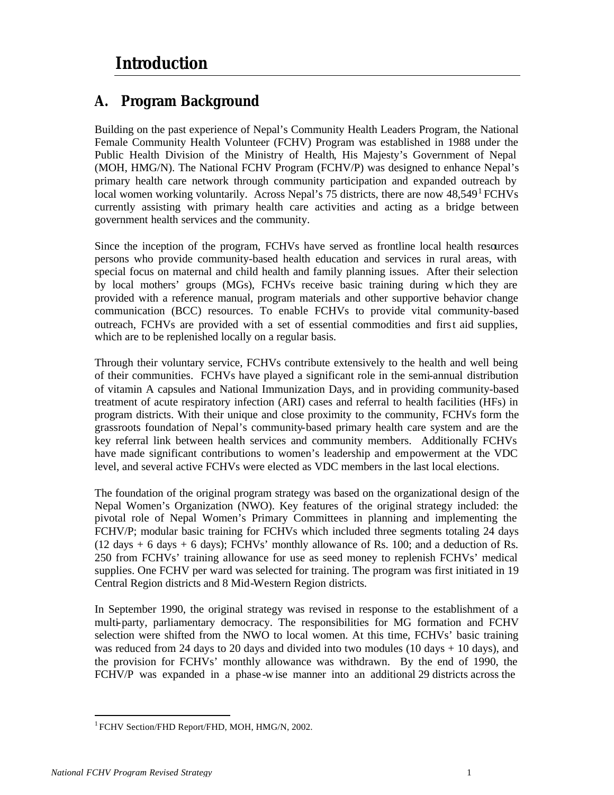## **A. Program Background**

Building on the past experience of Nepal's Community Health Leaders Program, the National Female Community Health Volunteer (FCHV) Program was established in 1988 under the Public Health Division of the Ministry of Health, His Majesty's Government of Nepal (MOH, HMG/N). The National FCHV Program (FCHV/P) was designed to enhance Nepal's primary health care network through community participation and expanded outreach by local women working voluntarily. Across Nepal's 75 districts, there are now  $48,549<sup>1</sup>$  FCHVs currently assisting with primary health care activities and acting as a bridge between government health services and the community.

Since the inception of the program, FCHVs have served as frontline local health resources persons who provide community-based health education and services in rural areas, with special focus on maternal and child health and family planning issues. After their selection by local mothers' groups (MGs), FCHVs receive basic training during w hich they are provided with a reference manual, program materials and other supportive behavior change communication (BCC) resources. To enable FCHVs to provide vital community-based outreach, FCHVs are provided with a set of essential commodities and first aid supplies, which are to be replenished locally on a regular basis.

Through their voluntary service, FCHVs contribute extensively to the health and well being of their communities. FCHVs have played a significant role in the semi-annual distribution of vitamin A capsules and National Immunization Days, and in providing community-based treatment of acute respiratory infection (ARI) cases and referral to health facilities (HFs) in program districts. With their unique and close proximity to the community, FCHVs form the grassroots foundation of Nepal's community-based primary health care system and are the key referral link between health services and community members. Additionally FCHVs have made significant contributions to women's leadership and empowerment at the VDC level, and several active FCHVs were elected as VDC members in the last local elections.

The foundation of the original program strategy was based on the organizational design of the Nepal Women's Organization (NWO). Key features of the original strategy included: the pivotal role of Nepal Women's Primary Committees in planning and implementing the FCHV/P; modular basic training for FCHVs which included three segments totaling 24 days  $(12 \text{ days} + 6 \text{ days} + 6 \text{ days})$ ; FCHVs' monthly allowance of Rs. 100; and a deduction of Rs. 250 from FCHVs' training allowance for use as seed money to replenish FCHVs' medical supplies. One FCHV per ward was selected for training. The program was first initiated in 19 Central Region districts and 8 Mid-Western Region districts.

In September 1990, the original strategy was revised in response to the establishment of a multi-party, parliamentary democracy. The responsibilities for MG formation and FCHV selection were shifted from the NWO to local women. At this time, FCHVs' basic training was reduced from 24 days to 20 days and divided into two modules (10 days  $+$  10 days), and the provision for FCHVs' monthly allowance was withdrawn. By the end of 1990, the FCHV/P was expanded in a phase -w ise manner into an additional 29 districts across the

l

<sup>&</sup>lt;sup>1</sup> FCHV Section/FHD Report/FHD, MOH, HMG/N, 2002.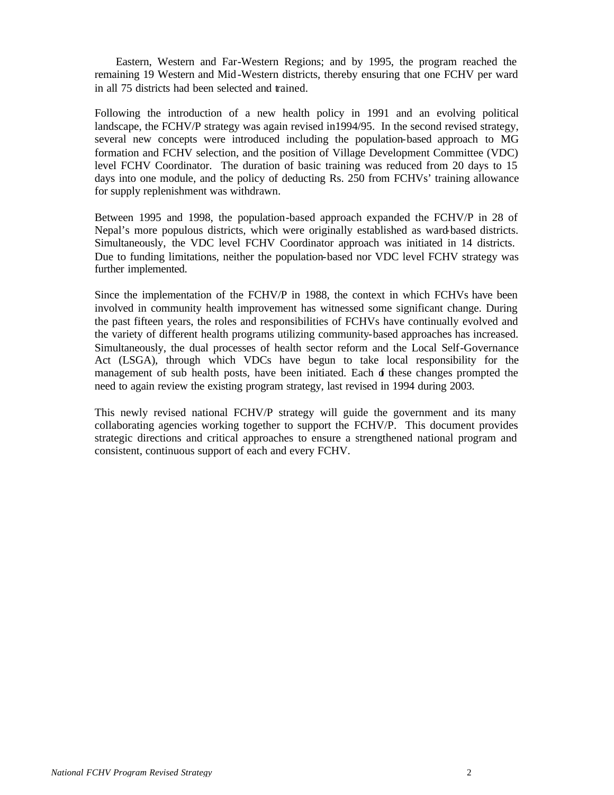Eastern, Western and Far-Western Regions; and by 1995, the program reached the remaining 19 Western and Mid-Western districts, thereby ensuring that one FCHV per ward in all 75 districts had been selected and trained.

Following the introduction of a new health policy in 1991 and an evolving political landscape, the FCHV/P strategy was again revised in1994/95. In the second revised strategy, several new concepts were introduced including the population-based approach to MG formation and FCHV selection, and the position of Village Development Committee (VDC) level FCHV Coordinator. The duration of basic training was reduced from 20 days to 15 days into one module, and the policy of deducting Rs. 250 from FCHVs' training allowance for supply replenishment was withdrawn.

Between 1995 and 1998, the population-based approach expanded the FCHV/P in 28 of Nepal's more populous districts, which were originally established as ward-based districts. Simultaneously, the VDC level FCHV Coordinator approach was initiated in 14 districts. Due to funding limitations, neither the population-based nor VDC level FCHV strategy was further implemented.

Since the implementation of the FCHV/P in 1988, the context in which FCHVs have been involved in community health improvement has witnessed some significant change. During the past fifteen years, the roles and responsibilities of FCHVs have continually evolved and the variety of different health programs utilizing community-based approaches has increased. Simultaneously, the dual processes of health sector reform and the Local Self-Governance Act (LSGA), through which VDCs have begun to take local responsibility for the management of sub health posts, have been initiated. Each of these changes prompted the need to again review the existing program strategy, last revised in 1994 during 2003.

This newly revised national FCHV/P strategy will guide the government and its many collaborating agencies working together to support the FCHV/P. This document provides strategic directions and critical approaches to ensure a strengthened national program and consistent, continuous support of each and every FCHV.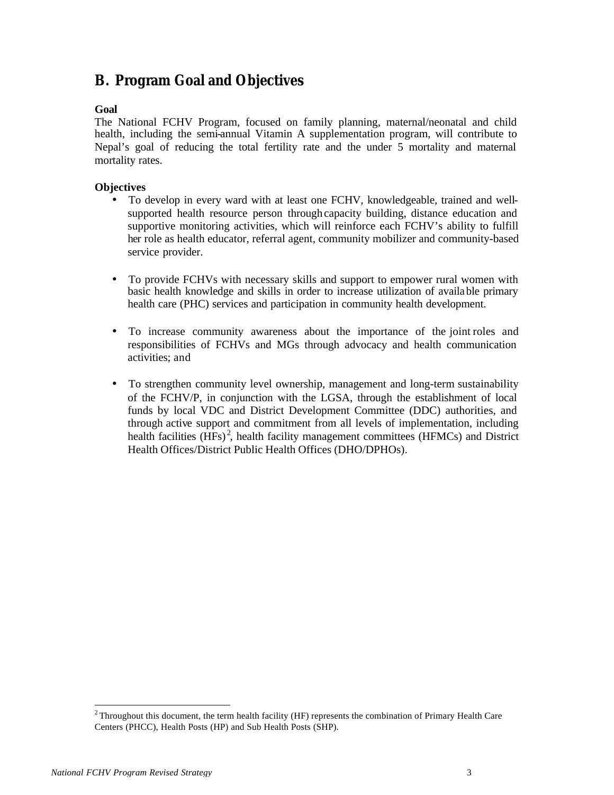## **B. Program Goal and Objectives**

#### **Goal**

The National FCHV Program, focused on family planning, maternal/neonatal and child health, including the semi-annual Vitamin A supplementation program, will contribute to Nepal's goal of reducing the total fertility rate and the under 5 mortality and maternal mortality rates.

#### **Objectives**

- To develop in every ward with at least one FCHV, knowledgeable, trained and wellsupported health resource person through capacity building, distance education and supportive monitoring activities, which will reinforce each FCHV's ability to fulfill her role as health educator, referral agent, community mobilizer and community-based service provider.
- To provide FCHVs with necessary skills and support to empower rural women with basic health knowledge and skills in order to increase utilization of available primary health care (PHC) services and participation in community health development.
- To increase community awareness about the importance of the joint roles and responsibilities of FCHVs and MGs through advocacy and health communication activities; and
- To strengthen community level ownership, management and long-term sustainability of the FCHV/P, in conjunction with the LGSA, through the establishment of local funds by local VDC and District Development Committee (DDC) authorities, and through active support and commitment from all levels of implementation, including health facilities (HFs)<sup>2</sup>, health facility management committees (HFMCs) and District Health Offices/District Public Health Offices (DHO/DPHOs).

l

<sup>&</sup>lt;sup>2</sup> Throughout this document, the term health facility (HF) represents the combination of Primary Health Care Centers (PHCC), Health Posts (HP) and Sub Health Posts (SHP).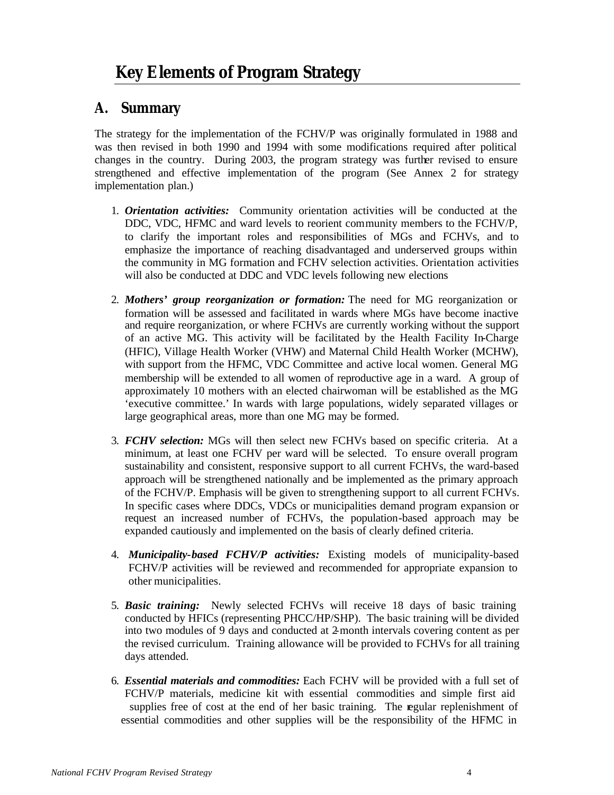## **A. Summary**

The strategy for the implementation of the FCHV/P was originally formulated in 1988 and was then revised in both 1990 and 1994 with some modifications required after political changes in the country. During 2003, the program strategy was further revised to ensure strengthened and effective implementation of the program (See Annex 2 for strategy implementation plan.)

- 1. *Orientation activities:* Community orientation activities will be conducted at the DDC, VDC, HFMC and ward levels to reorient community members to the FCHV/P, to clarify the important roles and responsibilities of MGs and FCHVs, and to emphasize the importance of reaching disadvantaged and underserved groups within the community in MG formation and FCHV selection activities. Orientation activities will also be conducted at DDC and VDC levels following new elections
- 2. *Mothers' group reorganization or formation:* The need for MG reorganization or formation will be assessed and facilitated in wards where MGs have become inactive and require reorganization, or where FCHVs are currently working without the support of an active MG. This activity will be facilitated by the Health Facility In-Charge (HFIC), Village Health Worker (VHW) and Maternal Child Health Worker (MCHW), with support from the HFMC, VDC Committee and active local women. General MG membership will be extended to all women of reproductive age in a ward. A group of approximately 10 mothers with an elected chairwoman will be established as the MG 'executive committee.' In wards with large populations, widely separated villages or large geographical areas, more than one MG may be formed.
- 3. *FCHV selection:* MGs will then select new FCHVs based on specific criteria. At a minimum, at least one FCHV per ward will be selected. To ensure overall program sustainability and consistent, responsive support to all current FCHVs, the ward-based approach will be strengthened nationally and be implemented as the primary approach of the FCHV/P. Emphasis will be given to strengthening support to all current FCHVs. In specific cases where DDCs, VDCs or municipalities demand program expansion or request an increased number of FCHVs, the population-based approach may be expanded cautiously and implemented on the basis of clearly defined criteria.
- 4. *Municipality-based FCHV/P activities:* Existing models of municipality-based FCHV/P activities will be reviewed and recommended for appropriate expansion to other municipalities.
- 5. *Basic training:* Newly selected FCHVs will receive 18 days of basic training conducted by HFICs (representing PHCC/HP/SHP). The basic training will be divided into two modules of 9 days and conducted at 2-month intervals covering content as per the revised curriculum. Training allowance will be provided to FCHVs for all training days attended.
- 6. *Essential materials and commodities:* Each FCHV will be provided with a full set of FCHV/P materials, medicine kit with essential commodities and simple first aid supplies free of cost at the end of her basic training. The regular replenishment of essential commodities and other supplies will be the responsibility of the HFMC in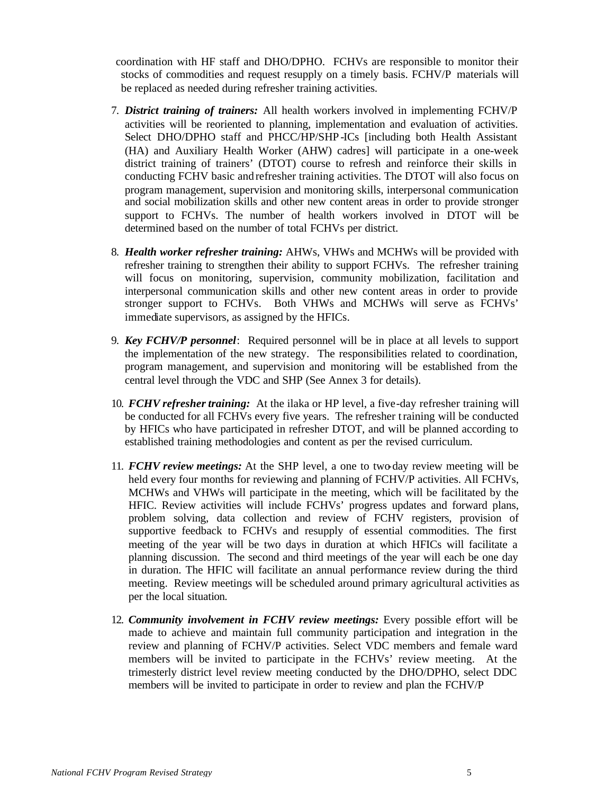coordination with HF staff and DHO/DPHO. FCHVs are responsible to monitor their stocks of commodities and request resupply on a timely basis. FCHV/P materials will be replaced as needed during refresher training activities.

- 7. *District training of trainers:* All health workers involved in implementing FCHV/P activities will be reoriented to planning, implementation and evaluation of activities. Select DHO/DPHO staff and PHCC/HP/SHP-ICs [including both Health Assistant (HA) and Auxiliary Health Worker (AHW) cadres] will participate in a one-week district training of trainers' (DTOT) course to refresh and reinforce their skills in conducting FCHV basic and refresher training activities. The DTOT will also focus on program management, supervision and monitoring skills, interpersonal communication and social mobilization skills and other new content areas in order to provide stronger support to FCHVs. The number of health workers involved in DTOT will be determined based on the number of total FCHVs per district.
- 8. *Health worker refresher training:* AHWs, VHWs and MCHWs will be provided with refresher training to strengthen their ability to support FCHVs. The refresher training will focus on monitoring, supervision, community mobilization, facilitation and interpersonal communication skills and other new content areas in order to provide stronger support to FCHVs. Both VHWs and MCHWs will serve as FCHVs' immediate supervisors, as assigned by the HFICs.
- 9. *Key FCHV/P personnel*: Required personnel will be in place at all levels to support the implementation of the new strategy. The responsibilities related to coordination, program management, and supervision and monitoring will be established from the central level through the VDC and SHP (See Annex 3 for details).
- 10. *FCHV refresher training:* At the ilaka or HP level, a five-day refresher training will be conducted for all FCHVs every five years. The refresher training will be conducted by HFICs who have participated in refresher DTOT, and will be planned according to established training methodologies and content as per the revised curriculum.
- 11. *FCHV review meetings:* At the SHP level, a one to two-day review meeting will be held every four months for reviewing and planning of FCHV/P activities. All FCHVs, MCHWs and VHWs will participate in the meeting, which will be facilitated by the HFIC. Review activities will include FCHVs' progress updates and forward plans, problem solving, data collection and review of FCHV registers, provision of supportive feedback to FCHVs and resupply of essential commodities. The first meeting of the year will be two days in duration at which HFICs will facilitate a planning discussion. The second and third meetings of the year will each be one day in duration. The HFIC will facilitate an annual performance review during the third meeting. Review meetings will be scheduled around primary agricultural activities as per the local situation.
- 12. *Community involvement in FCHV review meetings:* Every possible effort will be made to achieve and maintain full community participation and integration in the review and planning of FCHV/P activities. Select VDC members and female ward members will be invited to participate in the FCHVs' review meeting. At the trimesterly district level review meeting conducted by the DHO/DPHO, select DDC members will be invited to participate in order to review and plan the FCHV/P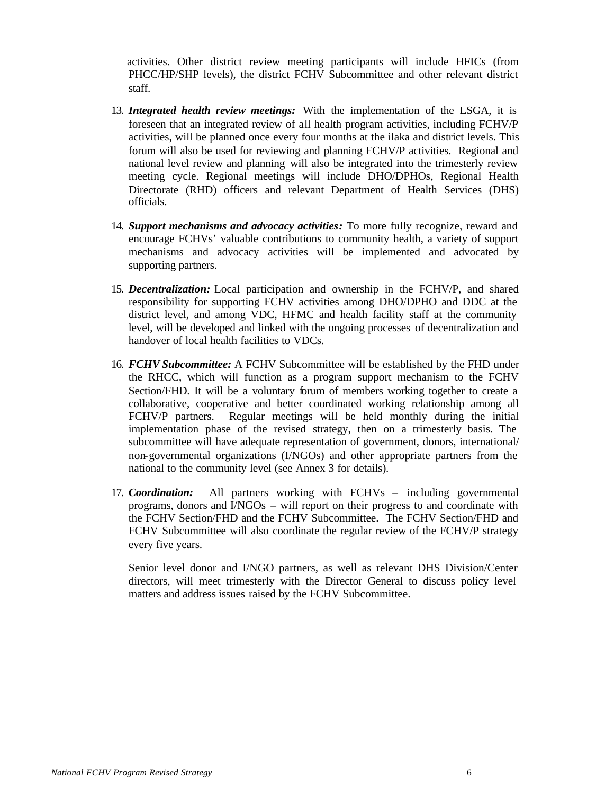activities. Other district review meeting participants will include HFICs (from PHCC/HP/SHP levels), the district FCHV Subcommittee and other relevant district staff.

- 13. *Integrated health review meetings:* With the implementation of the LSGA, it is foreseen that an integrated review of all health program activities, including FCHV/P activities, will be planned once every four months at the ilaka and district levels. This forum will also be used for reviewing and planning FCHV/P activities. Regional and national level review and planning will also be integrated into the trimesterly review meeting cycle. Regional meetings will include DHO/DPHOs, Regional Health Directorate (RHD) officers and relevant Department of Health Services (DHS) officials.
- 14. *Support mechanisms and advocacy activities:* To more fully recognize, reward and encourage FCHVs' valuable contributions to community health, a variety of support mechanisms and advocacy activities will be implemented and advocated by supporting partners.
- 15. *Decentralization:* Local participation and ownership in the FCHV/P, and shared responsibility for supporting FCHV activities among DHO/DPHO and DDC at the district level, and among VDC, HFMC and health facility staff at the community level, will be developed and linked with the ongoing processes of decentralization and handover of local health facilities to VDCs.
- 16. *FCHV Subcommittee:* A FCHV Subcommittee will be established by the FHD under the RHCC, which will function as a program support mechanism to the FCHV Section/FHD. It will be a voluntary forum of members working together to create a collaborative, cooperative and better coordinated working relationship among all FCHV/P partners. Regular meetings will be held monthly during the initial implementation phase of the revised strategy, then on a trimesterly basis. The subcommittee will have adequate representation of government, donors, international/ non-governmental organizations (I/NGOs) and other appropriate partners from the national to the community level (see Annex 3 for details).
- 17. *Coordination:* All partners working with FCHVs including governmental programs, donors and I/NGOs – will report on their progress to and coordinate with the FCHV Section/FHD and the FCHV Subcommittee. The FCHV Section/FHD and FCHV Subcommittee will also coordinate the regular review of the FCHV/P strategy every five years.

Senior level donor and I/NGO partners, as well as relevant DHS Division/Center directors, will meet trimesterly with the Director General to discuss policy level matters and address issues raised by the FCHV Subcommittee.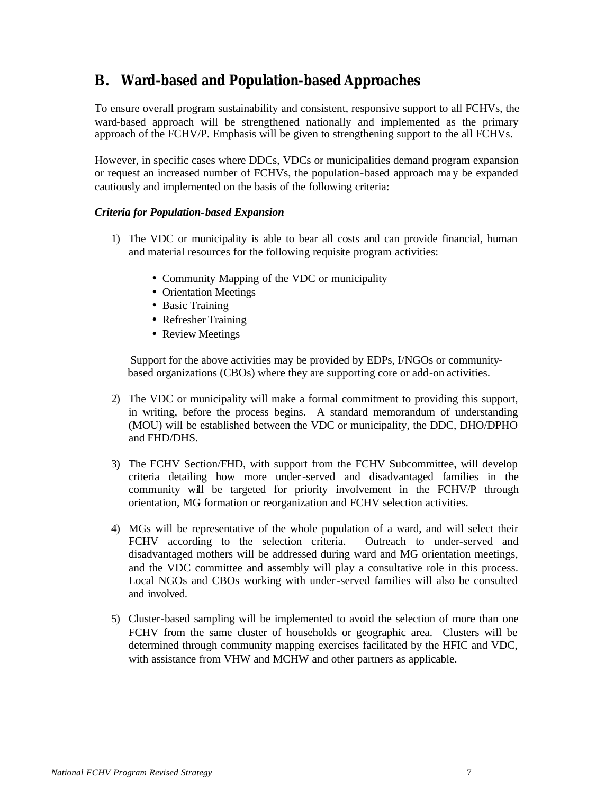## **B. Ward-based and Population-based Approaches**

To ensure overall program sustainability and consistent, responsive support to all FCHVs, the ward-based approach will be strengthened nationally and implemented as the primary approach of the FCHV/P. Emphasis will be given to strengthening support to the all FCHVs.

However, in specific cases where DDCs, VDCs or municipalities demand program expansion or request an increased number of FCHVs, the population-based approach may be expanded cautiously and implemented on the basis of the following criteria:

#### *Criteria for Population-based Expansion*

- 1) The VDC or municipality is able to bear all costs and can provide financial, human and material resources for the following requisite program activities:
	- Community Mapping of the VDC or municipality
	- Orientation Meetings
	- Basic Training
	- Refresher Training
	- Review Meetings

 Support for the above activities may be provided by EDPs, I/NGOs or community based organizations (CBOs) where they are supporting core or add-on activities.

- 2) The VDC or municipality will make a formal commitment to providing this support, in writing, before the process begins. A standard memorandum of understanding (MOU) will be established between the VDC or municipality, the DDC, DHO/DPHO and FHD/DHS.
- 3) The FCHV Section/FHD, with support from the FCHV Subcommittee, will develop criteria detailing how more under-served and disadvantaged families in the community will be targeted for priority involvement in the FCHV/P through orientation, MG formation or reorganization and FCHV selection activities.
- 4) MGs will be representative of the whole population of a ward, and will select their FCHV according to the selection criteria. Outreach to under-served and disadvantaged mothers will be addressed during ward and MG orientation meetings, and the VDC committee and assembly will play a consultative role in this process. Local NGOs and CBOs working with under-served families will also be consulted and involved.
- 5) Cluster-based sampling will be implemented to avoid the selection of more than one FCHV from the same cluster of households or geographic area. Clusters will be determined through community mapping exercises facilitated by the HFIC and VDC, with assistance from VHW and MCHW and other partners as applicable.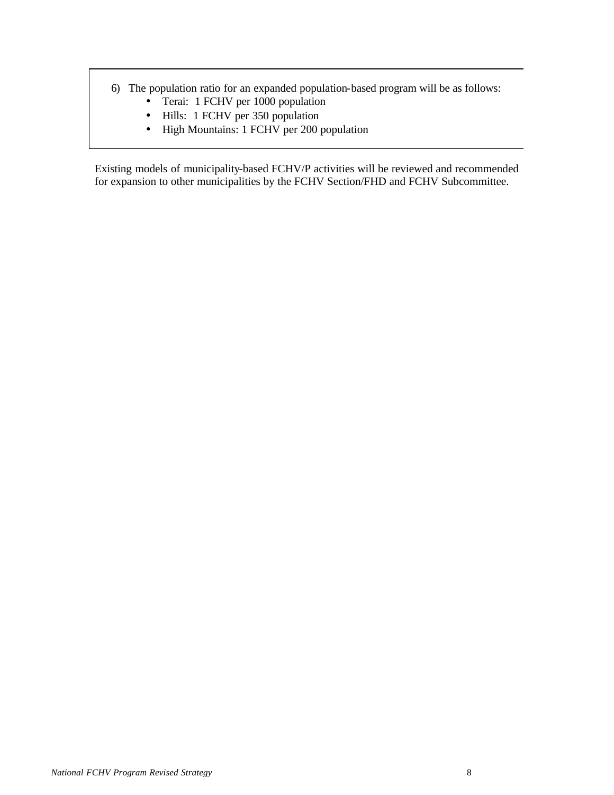- 6) The population ratio for an expanded population-based program will be as follows:
	- Terai: 1 FCHV per 1000 population
	- Hills: 1 FCHV per 350 population
	- High Mountains: 1 FCHV per 200 population

Existing models of municipality-based FCHV/P activities will be reviewed and recommended for expansion to other municipalities by the FCHV Section/FHD and FCHV Subcommittee.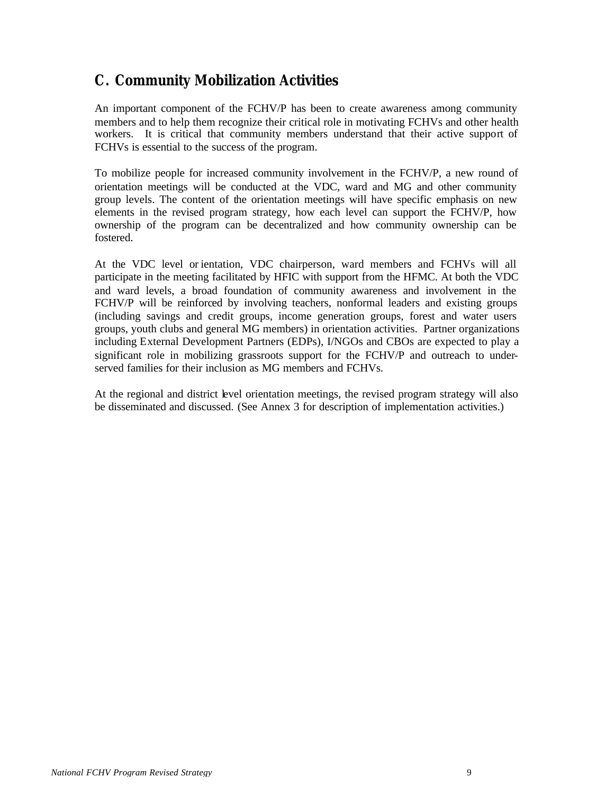## **C. Community Mobilization Activities**

An important component of the FCHV/P has been to create awareness among community members and to help them recognize their critical role in motivating FCHVs and other health workers. It is critical that community members understand that their active support of FCHVs is essential to the success of the program.

To mobilize people for increased community involvement in the FCHV/P, a new round of orientation meetings will be conducted at the VDC, ward and MG and other community group levels. The content of the orientation meetings will have specific emphasis on new elements in the revised program strategy, how each level can support the FCHV/P, how ownership of the program can be decentralized and how community ownership can be fostered.

At the VDC level or ientation, VDC chairperson, ward members and FCHVs will all participate in the meeting facilitated by HFIC with support from the HFMC. At both the VDC and ward levels, a broad foundation of community awareness and involvement in the FCHV/P will be reinforced by involving teachers, nonformal leaders and existing groups (including savings and credit groups, income generation groups, forest and water users groups, youth clubs and general MG members) in orientation activities. Partner organizations including External Development Partners (EDPs), I/NGOs and CBOs are expected to play a significant role in mobilizing grassroots support for the FCHV/P and outreach to underserved families for their inclusion as MG members and FCHVs.

At the regional and district level orientation meetings, the revised program strategy will also be disseminated and discussed. (See Annex 3 for description of implementation activities.)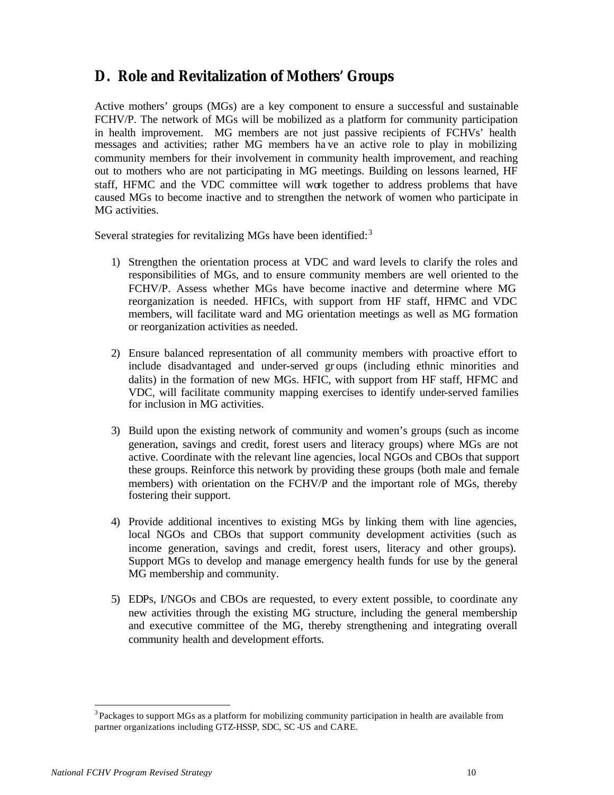## **D. Role and Revitalization of Mothers' Groups**

Active mothers' groups (MGs) are a key component to ensure a successful and sustainable FCHV/P. The network of MGs will be mobilized as a platform for community participation in health improvement. MG members are not just passive recipients of FCHVs' health messages and activities; rather MG members ha ve an active role to play in mobilizing community members for their involvement in community health improvement, and reaching out to mothers who are not participating in MG meetings. Building on lessons learned, HF staff, HFMC and the VDC committee will work together to address problems that have caused MGs to become inactive and to strengthen the network of women who participate in MG activities.

Several strategies for revitalizing MGs have been identified: $3$ 

- 1) Strengthen the orientation process at VDC and ward levels to clarify the roles and responsibilities of MGs, and to ensure community members are well oriented to the FCHV/P. Assess whether MGs have become inactive and determine where MG reorganization is needed. HFICs, with support from HF staff, HFMC and VDC members, will facilitate ward and MG orientation meetings as well as MG formation or reorganization activities as needed.
- 2) Ensure balanced representation of all community members with proactive effort to include disadvantaged and under-served gr oups (including ethnic minorities and dalits) in the formation of new MGs. HFIC, with support from HF staff, HFMC and VDC, will facilitate community mapping exercises to identify under-served families for inclusion in MG activities.
- 3) Build upon the existing network of community and women's groups (such as income generation, savings and credit, forest users and literacy groups) where MGs are not active. Coordinate with the relevant line agencies, local NGOs and CBOs that support these groups. Reinforce this network by providing these groups (both male and female members) with orientation on the FCHV/P and the important role of MGs, thereby fostering their support.
- 4) Provide additional incentives to existing MGs by linking them with line agencies, local NGOs and CBOs that support community development activities (such as income generation, savings and credit, forest users, literacy and other groups). Support MGs to develop and manage emergency health funds for use by the general MG membership and community.
- 5) EDPs, I/NGOs and CBOs are requested, to every extent possible, to coordinate any new activities through the existing MG structure, including the general membership and executive committee of the MG, thereby strengthening and integrating overall community health and development efforts.

l

 $3$  Packages to support MGs as a platform for mobilizing community participation in health are available from partner organizations including GTZ-HSSP, SDC, SC -US and CARE.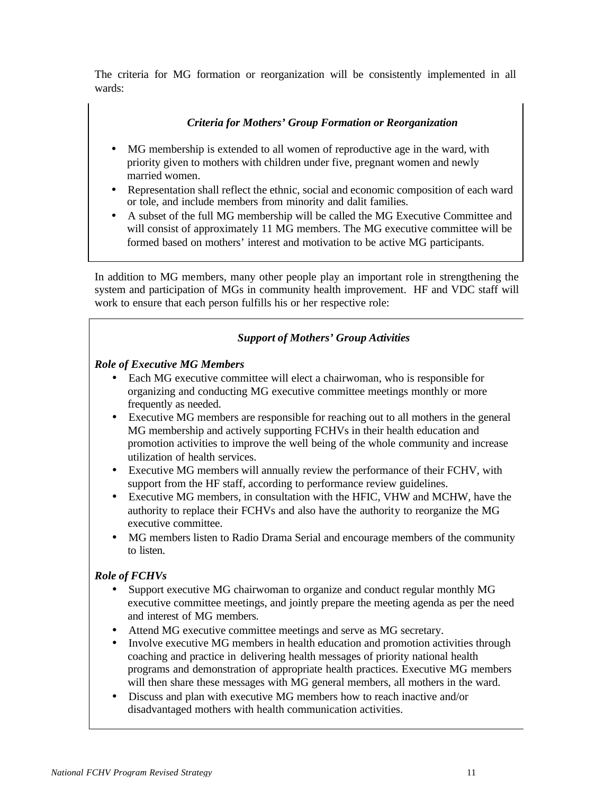The criteria for MG formation or reorganization will be consistently implemented in all wards:

#### *Criteria for Mothers' Group Formation or Reorganization*

- MG membership is extended to all women of reproductive age in the ward, with priority given to mothers with children under five, pregnant women and newly married women.
- Representation shall reflect the ethnic, social and economic composition of each ward or tole, and include members from minority and dalit families.
- A subset of the full MG membership will be called the MG Executive Committee and will consist of approximately 11 MG members. The MG executive committee will be formed based on mothers' interest and motivation to be active MG participants.

In addition to MG members, many other people play an important role in strengthening the system and participation of MGs in community health improvement. HF and VDC staff will work to ensure that each person fulfills his or her respective role:

#### *Support of Mothers' Group Activities*

#### *Role of Executive MG Members*

- Each MG executive committee will elect a chairwoman, who is responsible for organizing and conducting MG executive committee meetings monthly or more frequently as needed.
- Executive MG members are responsible for reaching out to all mothers in the general MG membership and actively supporting FCHVs in their health education and promotion activities to improve the well being of the whole community and increase utilization of health services.
- Executive MG members will annually review the performance of their FCHV, with support from the HF staff, according to performance review guidelines.
- Executive MG members, in consultation with the HFIC, VHW and MCHW, have the authority to replace their FCHVs and also have the authority to reorganize the MG executive committee.
- MG members listen to Radio Drama Serial and encourage members of the community to listen.

#### *Role of FCHVs*

- Support executive MG chairwoman to organize and conduct regular monthly MG executive committee meetings, and jointly prepare the meeting agenda as per the need and interest of MG members.
- Attend MG executive committee meetings and serve as MG secretary.
- Involve executive MG members in health education and promotion activities through coaching and practice in delivering health messages of priority national health programs and demonstration of appropriate health practices. Executive MG members will then share these messages with MG general members, all mothers in the ward.
- Discuss and plan with executive MG members how to reach inactive and/or disadvantaged mothers with health communication activities.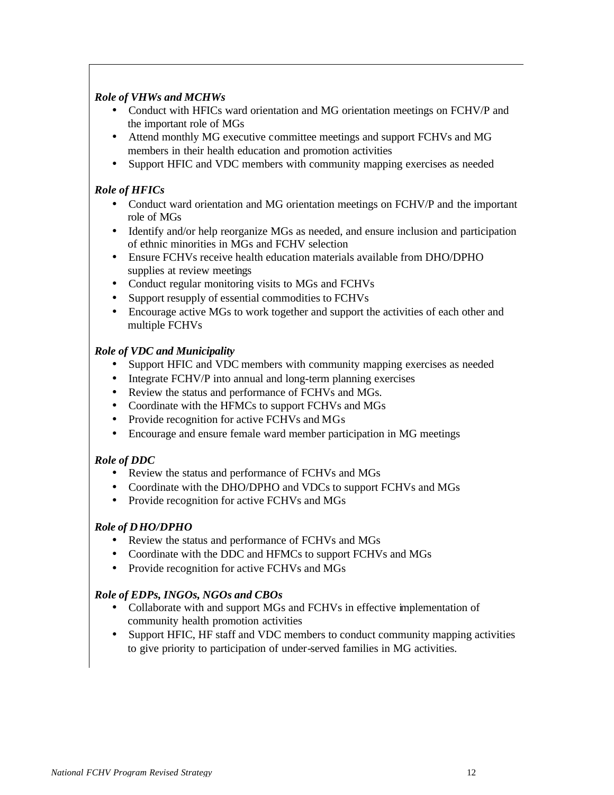#### *Role of VHWs and MCHWs*

- Conduct with HFICs ward orientation and MG orientation meetings on FCHV/P and the important role of MGs
- Attend monthly MG executive committee meetings and support FCHVs and MG members in their health education and promotion activities
- Support HFIC and VDC members with community mapping exercises as needed

#### *Role of HFICs*

- Conduct ward orientation and MG orientation meetings on FCHV/P and the important role of MGs
- Identify and/or help reorganize MGs as needed, and ensure inclusion and participation of ethnic minorities in MGs and FCHV selection
- Ensure FCHVs receive health education materials available from DHO/DPHO supplies at review meetings
- Conduct regular monitoring visits to MGs and FCHVs
- Support resupply of essential commodities to FCHVs
- Encourage active MGs to work together and support the activities of each other and multiple FCHVs

#### *Role of VDC and Municipality*

- Support HFIC and VDC members with community mapping exercises as needed
- Integrate FCHV/P into annual and long-term planning exercises
- Review the status and performance of FCHVs and MGs.
- Coordinate with the HFMCs to support FCHVs and MGs
- Provide recognition for active FCHVs and MGs
- Encourage and ensure female ward member participation in MG meetings

#### *Role of DDC*

- Review the status and performance of FCHVs and MGs
- Coordinate with the DHO/DPHO and VDCs to support FCHVs and MGs
- Provide recognition for active FCHVs and MGs

#### *Role of DHO/DPHO*

- Review the status and performance of FCHVs and MGs
- Coordinate with the DDC and HFMCs to support FCHVs and MGs
- Provide recognition for active FCHVs and MGs

#### *Role of EDPs, INGOs, NGOs and CBOs*

- Collaborate with and support MGs and FCHVs in effective implementation of community health promotion activities
- Support HFIC, HF staff and VDC members to conduct community mapping activities to give priority to participation of under-served families in MG activities.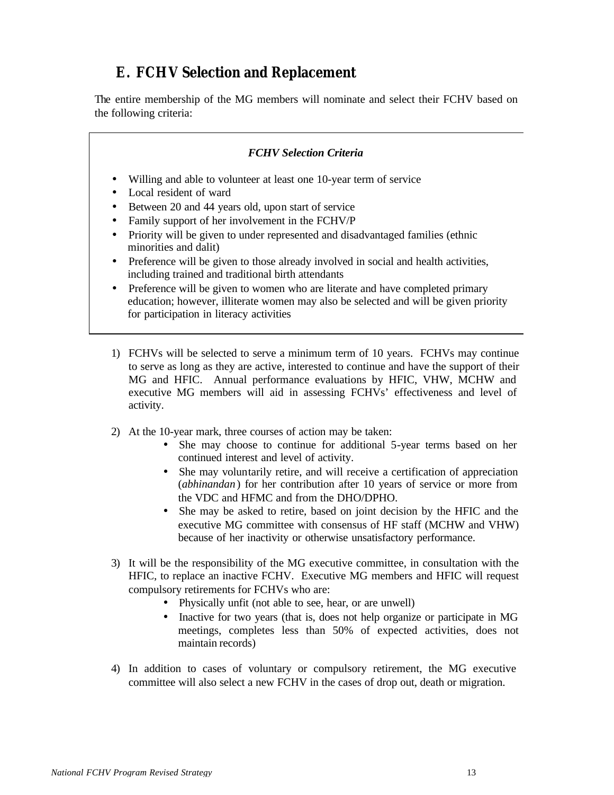## **E. FCHV Selection and Replacement**

The entire membership of the MG members will nominate and select their FCHV based on the following criteria:

#### *FCHV Selection Criteria*

- Willing and able to volunteer at least one 10-year term of service
- Local resident of ward
- Between 20 and 44 years old, upon start of service
- Family support of her involvement in the FCHV/P
- Priority will be given to under represented and disadvantaged families (ethnic minorities and dalit)
- Preference will be given to those already involved in social and health activities, including trained and traditional birth attendants
- Preference will be given to women who are literate and have completed primary education; however, illiterate women may also be selected and will be given priority for participation in literacy activities
- 1) FCHVs will be selected to serve a minimum term of 10 years. FCHVs may continue to serve as long as they are active, interested to continue and have the support of their MG and HFIC. Annual performance evaluations by HFIC, VHW, MCHW and executive MG members will aid in assessing FCHVs' effectiveness and level of activity.
- 2) At the 10-year mark, three courses of action may be taken:
	- She may choose to continue for additional 5-year terms based on her continued interest and level of activity.
	- She may voluntarily retire, and will receive a certification of appreciation (*abhinandan* ) for her contribution after 10 years of service or more from the VDC and HFMC and from the DHO/DPHO.
	- She may be asked to retire, based on joint decision by the HFIC and the executive MG committee with consensus of HF staff (MCHW and VHW) because of her inactivity or otherwise unsatisfactory performance.
- 3) It will be the responsibility of the MG executive committee, in consultation with the HFIC, to replace an inactive FCHV. Executive MG members and HFIC will request compulsory retirements for FCHVs who are:
	- Physically unfit (not able to see, hear, or are unwell)
	- Inactive for two years (that is, does not help organize or participate in MG meetings, completes less than 50% of expected activities, does not maintain records)
- 4) In addition to cases of voluntary or compulsory retirement, the MG executive committee will also select a new FCHV in the cases of drop out, death or migration.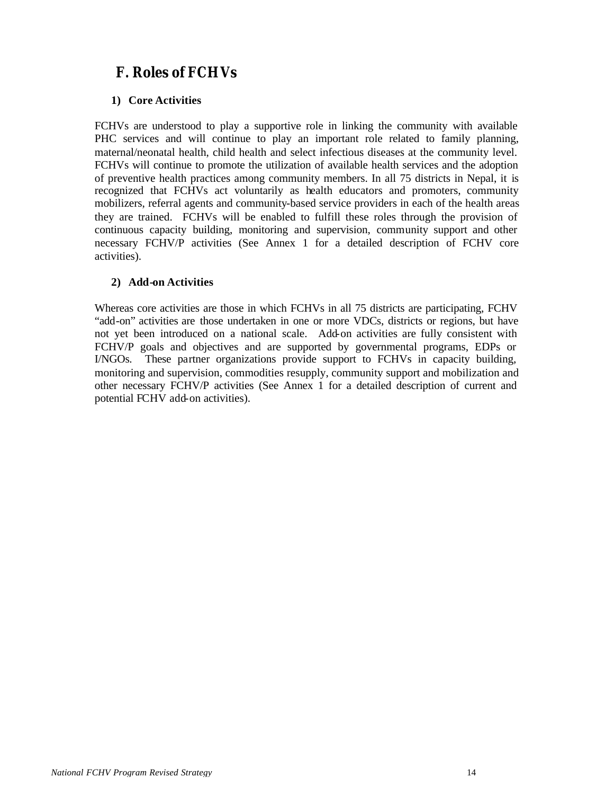## **F. Roles of FCHVs**

#### **1) Core Activities**

FCHVs are understood to play a supportive role in linking the community with available PHC services and will continue to play an important role related to family planning, maternal/neonatal health, child health and select infectious diseases at the community level. FCHVs will continue to promote the utilization of available health services and the adoption of preventive health practices among community members. In all 75 districts in Nepal, it is recognized that FCHVs act voluntarily as health educators and promoters, community mobilizers, referral agents and community-based service providers in each of the health areas they are trained. FCHVs will be enabled to fulfill these roles through the provision of continuous capacity building, monitoring and supervision, community support and other necessary FCHV/P activities (See Annex 1 for a detailed description of FCHV core activities).

#### **2) Add-on Activities**

Whereas core activities are those in which FCHVs in all 75 districts are participating, FCHV "add-on" activities are those undertaken in one or more VDCs, districts or regions, but have not yet been introduced on a national scale. Add-on activities are fully consistent with FCHV/P goals and objectives and are supported by governmental programs, EDPs or I/NGOs. These partner organizations provide support to FCHVs in capacity building, monitoring and supervision, commodities resupply, community support and mobilization and other necessary FCHV/P activities (See Annex 1 for a detailed description of current and potential FCHV add-on activities).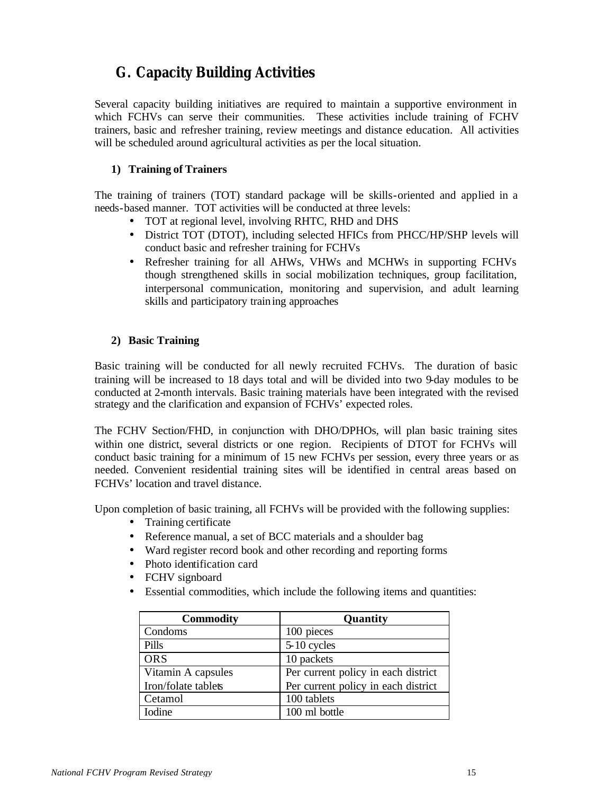## **G. Capacity Building Activities**

Several capacity building initiatives are required to maintain a supportive environment in which FCHVs can serve their communities. These activities include training of FCHV trainers, basic and refresher training, review meetings and distance education. All activities will be scheduled around agricultural activities as per the local situation.

#### **1) Training of Trainers**

The training of trainers (TOT) standard package will be skills-oriented and applied in a needs-based manner. TOT activities will be conducted at three levels:

- TOT at regional level, involving RHTC, RHD and DHS
- District TOT (DTOT), including selected HFICs from PHCC/HP/SHP levels will conduct basic and refresher training for FCHVs
- Refresher training for all AHWs, VHWs and MCHWs in supporting FCHVs though strengthened skills in social mobilization techniques, group facilitation, interpersonal communication, monitoring and supervision, and adult learning skills and participatory training approaches

#### **2) Basic Training**

Basic training will be conducted for all newly recruited FCHVs. The duration of basic training will be increased to 18 days total and will be divided into two 9-day modules to be conducted at 2-month intervals. Basic training materials have been integrated with the revised strategy and the clarification and expansion of FCHVs' expected roles.

The FCHV Section/FHD, in conjunction with DHO/DPHOs, will plan basic training sites within one district, several districts or one region. Recipients of DTOT for FCHVs will conduct basic training for a minimum of 15 new FCHVs per session, every three years or as needed. Convenient residential training sites will be identified in central areas based on FCHVs' location and travel distance.

Upon completion of basic training, all FCHVs will be provided with the following supplies:

- Training certificate
- Reference manual, a set of BCC materials and a shoulder bag
- Ward register record book and other recording and reporting forms
- Photo identification card
- FCHV signboard
- Essential commodities, which include the following items and quantities:

| <b>Commodity</b>    | Quantity                            |
|---------------------|-------------------------------------|
| Condoms             | 100 pieces                          |
| Pills               | 5-10 cycles                         |
| <b>ORS</b>          | 10 packets                          |
| Vitamin A capsules  | Per current policy in each district |
| Iron/folate tablets | Per current policy in each district |
| Cetamol             | 100 tablets                         |
| <b>I</b> odine      | 100 ml bottle                       |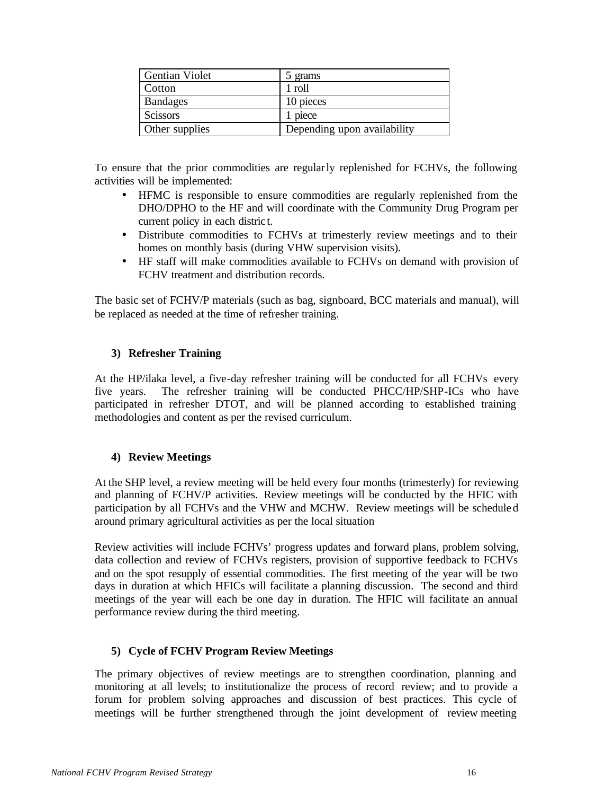| <b>Gentian Violet</b> | 5 grams                     |
|-----------------------|-----------------------------|
| Cotton                | 1 roll                      |
| <b>Bandages</b>       | 10 pieces                   |
| <b>Scissors</b>       | 1 piece                     |
| Other supplies        | Depending upon availability |

To ensure that the prior commodities are regularly replenished for FCHVs, the following activities will be implemented:

- HFMC is responsible to ensure commodities are regularly replenished from the DHO/DPHO to the HF and will coordinate with the Community Drug Program per current policy in each distric t.
- Distribute commodities to FCHVs at trimesterly review meetings and to their homes on monthly basis (during VHW supervision visits).
- HF staff will make commodities available to FCHVs on demand with provision of FCHV treatment and distribution records.

The basic set of FCHV/P materials (such as bag, signboard, BCC materials and manual), will be replaced as needed at the time of refresher training.

#### **3) Refresher Training**

At the HP/ilaka level, a five-day refresher training will be conducted for all FCHVs every five years. The refresher training will be conducted PHCC/HP/SHP-ICs who have participated in refresher DTOT, and will be planned according to established training methodologies and content as per the revised curriculum.

#### **4) Review Meetings**

At the SHP level, a review meeting will be held every four months (trimesterly) for reviewing and planning of FCHV/P activities. Review meetings will be conducted by the HFIC with participation by all FCHVs and the VHW and MCHW. Review meetings will be schedule d around primary agricultural activities as per the local situation

Review activities will include FCHVs' progress updates and forward plans, problem solving, data collection and review of FCHVs registers, provision of supportive feedback to FCHVs and on the spot resupply of essential commodities. The first meeting of the year will be two days in duration at which HFICs will facilitate a planning discussion. The second and third meetings of the year will each be one day in duration. The HFIC will facilitate an annual performance review during the third meeting.

#### **5) Cycle of FCHV Program Review Meetings**

The primary objectives of review meetings are to strengthen coordination, planning and monitoring at all levels; to institutionalize the process of record review; and to provide a forum for problem solving approaches and discussion of best practices. This cycle of meetings will be further strengthened through the joint development of review meeting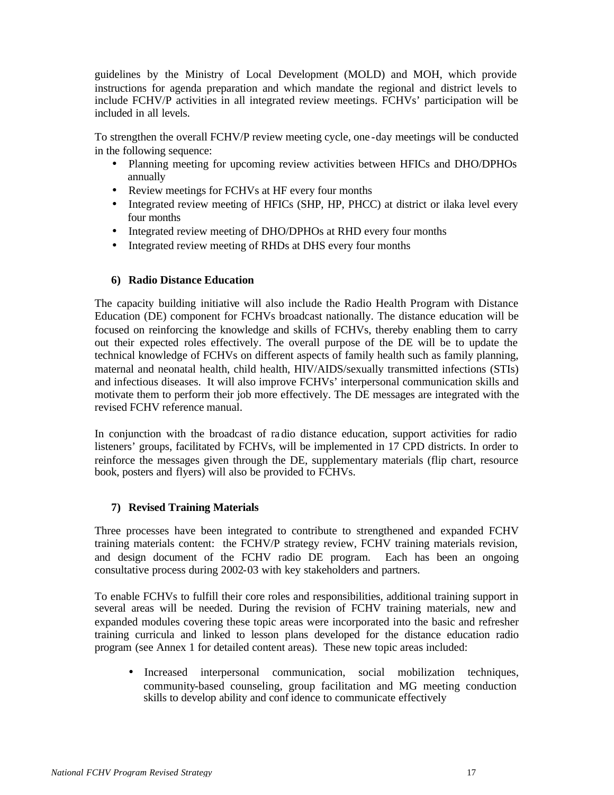guidelines by the Ministry of Local Development (MOLD) and MOH, which provide instructions for agenda preparation and which mandate the regional and district levels to include FCHV/P activities in all integrated review meetings. FCHVs' participation will be included in all levels.

To strengthen the overall FCHV/P review meeting cycle, one -day meetings will be conducted in the following sequence:

- Planning meeting for upcoming review activities between HFICs and DHO/DPHOs annually
- Review meetings for FCHVs at HF every four months
- Integrated review meeting of HFICs (SHP, HP, PHCC) at district or ilaka level every four months
- Integrated review meeting of DHO/DPHOs at RHD every four months
- Integrated review meeting of RHDs at DHS every four months

#### **6) Radio Distance Education**

The capacity building initiative will also include the Radio Health Program with Distance Education (DE) component for FCHVs broadcast nationally. The distance education will be focused on reinforcing the knowledge and skills of FCHVs, thereby enabling them to carry out their expected roles effectively. The overall purpose of the DE will be to update the technical knowledge of FCHVs on different aspects of family health such as family planning, maternal and neonatal health, child health, HIV/AIDS/sexually transmitted infections (STIs) and infectious diseases. It will also improve FCHVs' interpersonal communication skills and motivate them to perform their job more effectively. The DE messages are integrated with the revised FCHV reference manual.

In conjunction with the broadcast of ra dio distance education, support activities for radio listeners' groups, facilitated by FCHVs, will be implemented in 17 CPD districts. In order to reinforce the messages given through the DE, supplementary materials (flip chart, resource book, posters and flyers) will also be provided to FCHVs.

#### **7) Revised Training Materials**

Three processes have been integrated to contribute to strengthened and expanded FCHV training materials content: the FCHV/P strategy review, FCHV training materials revision, and design document of the FCHV radio DE program. Each has been an ongoing consultative process during 2002-03 with key stakeholders and partners.

To enable FCHVs to fulfill their core roles and responsibilities, additional training support in several areas will be needed. During the revision of FCHV training materials, new and expanded modules covering these topic areas were incorporated into the basic and refresher training curricula and linked to lesson plans developed for the distance education radio program (see Annex 1 for detailed content areas). These new topic areas included:

• Increased interpersonal communication, social mobilization techniques, community-based counseling, group facilitation and MG meeting conduction skills to develop ability and conf idence to communicate effectively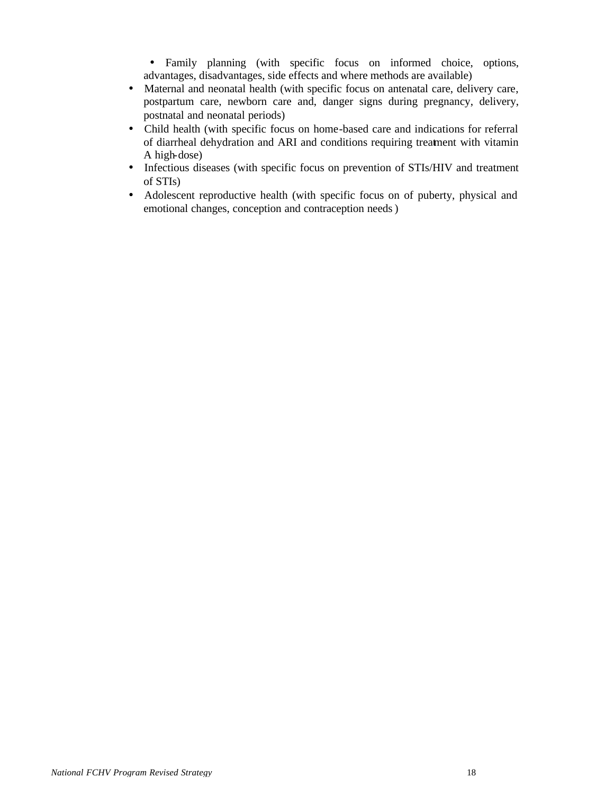• Family planning (with specific focus on informed choice, options, advantages, disadvantages, side effects and where methods are available)

- Maternal and neonatal health (with specific focus on antenatal care, delivery care, postpartum care, newborn care and, danger signs during pregnancy, delivery, postnatal and neonatal periods)
- Child health (with specific focus on home-based care and indications for referral of diarrheal dehydration and ARI and conditions requiring treatment with vitamin A high-dose)
- Infectious diseases (with specific focus on prevention of STIs/HIV and treatment of STIs)
- Adolescent reproductive health (with specific focus on of puberty, physical and emotional changes, conception and contraception needs)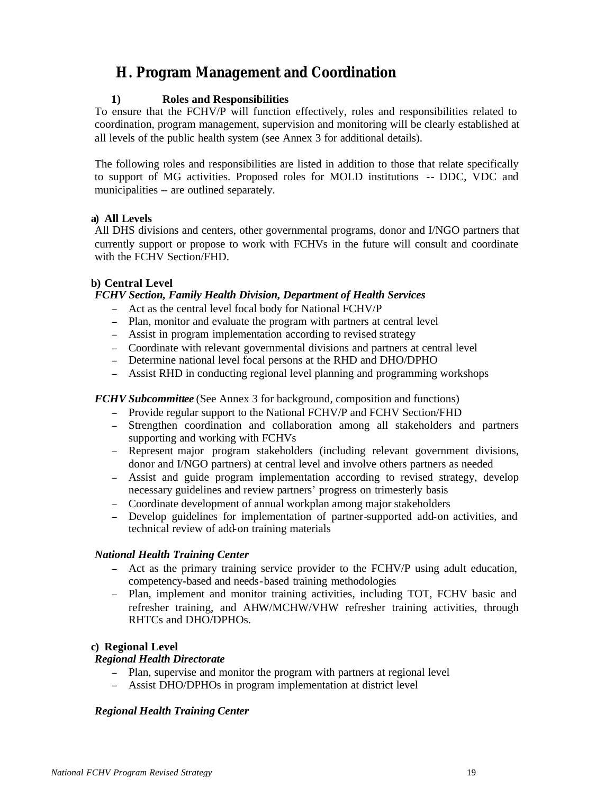## **H. Program Management and Coordination**

#### **1) Roles and Responsibilities**

To ensure that the FCHV/P will function effectively, roles and responsibilities related to coordination, program management, supervision and monitoring will be clearly established at all levels of the public health system (see Annex 3 for additional details).

The following roles and responsibilities are listed in addition to those that relate specifically to support of MG activities. Proposed roles for MOLD institutions -- DDC, VDC and municipalities -- are outlined separately.

#### **a) All Levels**

All DHS divisions and centers, other governmental programs, donor and I/NGO partners that currently support or propose to work with FCHVs in the future will consult and coordinate with the FCHV Section/FHD.

#### **b) Central Level**

#### *FCHV Section, Family Health Division, Department of Health Services*

- <sup>−</sup> Act as the central level focal body for National FCHV/P
- <sup>−</sup> Plan, monitor and evaluate the program with partners at central level
- <sup>−</sup> Assist in program implementation according to revised strategy
- <sup>−</sup> Coordinate with relevant governmental divisions and partners at central level
- <sup>−</sup> Determine national level focal persons at the RHD and DHO/DPHO
- <sup>−</sup> Assist RHD in conducting regional level planning and programming workshops

#### *FCHV Subcommittee* (See Annex 3 for background, composition and functions)

- <sup>−</sup> Provide regular support to the National FCHV/P and FCHV Section/FHD
- <sup>−</sup> Strengthen coordination and collaboration among all stakeholders and partners supporting and working with FCHVs
- <sup>−</sup> Represent major program stakeholders (including relevant government divisions, donor and I/NGO partners) at central level and involve others partners as needed
- <sup>−</sup> Assist and guide program implementation according to revised strategy, develop necessary guidelines and review partners' progress on trimesterly basis
- <sup>−</sup> Coordinate development of annual workplan among major stakeholders
- Develop guidelines for implementation of partner-supported add-on activities, and technical review of add-on training materials

#### *National Health Training Center*

- <sup>−</sup> Act as the primary training service provider to the FCHV/P using adult education, competency-based and needs-based training methodologies
- <sup>−</sup> Plan, implement and monitor training activities, including TOT, FCHV basic and refresher training, and AHW/MCHW/VHW refresher training activities, through RHTCs and DHO/DPHOs.

#### **c) Regional Level**

#### *Regional Health Directorate*

- Plan, supervise and monitor the program with partners at regional level
- <sup>−</sup> Assist DHO/DPHOs in program implementation at district level

#### *Regional Health Training Center*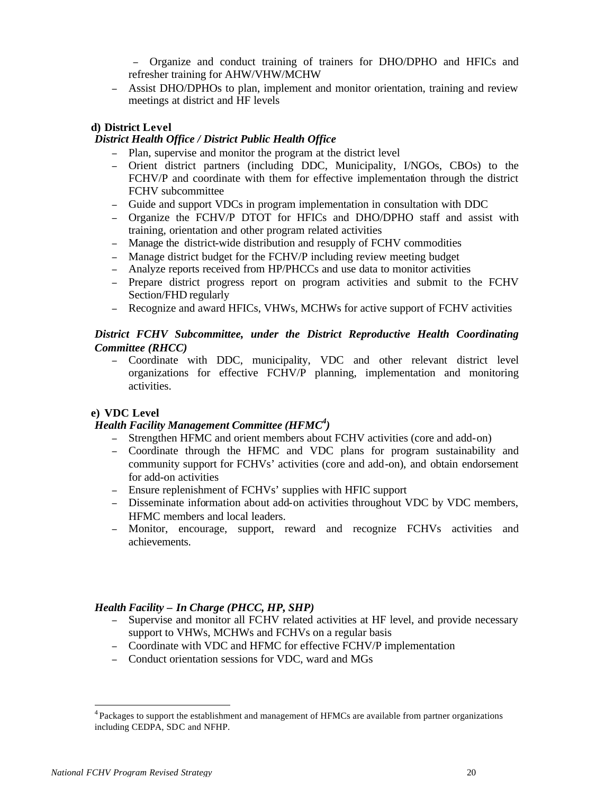<sup>−</sup> Organize and conduct training of trainers for DHO/DPHO and HFICs and refresher training for AHW/VHW/MCHW

<sup>−</sup> Assist DHO/DPHOs to plan, implement and monitor orientation, training and review meetings at district and HF levels

#### **d) District Level**

#### *District Health Office / District Public Health Office*

- <sup>−</sup> Plan, supervise and monitor the program at the district level
- <sup>−</sup> Orient district partners (including DDC, Municipality, I/NGOs, CBOs) to the FCHV/P and coordinate with them for effective implementation through the district FCHV subcommittee
- <sup>−</sup> Guide and support VDCs in program implementation in consultation with DDC
- <sup>−</sup> Organize the FCHV/P DTOT for HFICs and DHO/DPHO staff and assist with training, orientation and other program related activities
- Manage the district-wide distribution and resupply of FCHV commodities
- Manage district budget for the FCHV/P including review meeting budget
- Analyze reports received from HP/PHCCs and use data to monitor activities
- <sup>−</sup> Prepare district progress report on program activities and submit to the FCHV Section/FHD regularly
- <sup>−</sup> Recognize and award HFICs, VHWs, MCHWs for active support of FCHV activities

#### *District FCHV Subcommittee, under the District Reproductive Health Coordinating Committee (RHCC)*

<sup>−</sup> Coordinate with DDC, municipality, VDC and other relevant district level organizations for effective FCHV/P planning, implementation and monitoring activities.

#### **e) VDC Level**

#### *Health Facility Management Committee (HFMC<sup>4</sup> )*

- <sup>−</sup> Strengthen HFMC and orient members about FCHV activities (core and add-on)
- <sup>−</sup> Coordinate through the HFMC and VDC plans for program sustainability and community support for FCHVs' activities (core and add-on), and obtain endorsement for add-on activities
- <sup>−</sup> Ensure replenishment of FCHVs' supplies with HFIC support
- <sup>−</sup> Disseminate information about add-on activities throughout VDC by VDC members, HFMC members and local leaders.
- <sup>−</sup> Monitor, encourage, support, reward and recognize FCHVs activities and achievements.

#### *Health Facility – In Charge (PHCC, HP, SHP)*

- <sup>−</sup> Supervise and monitor all FCHV related activities at HF level, and provide necessary support to VHWs, MCHWs and FCHVs on a regular basis
- <sup>−</sup> Coordinate with VDC and HFMC for effective FCHV/P implementation
- <sup>−</sup> Conduct orientation sessions for VDC, ward and MGs

l

<sup>&</sup>lt;sup>4</sup> Packages to support the establishment and management of HFMCs are available from partner organizations including CEDPA, SDC and NFHP.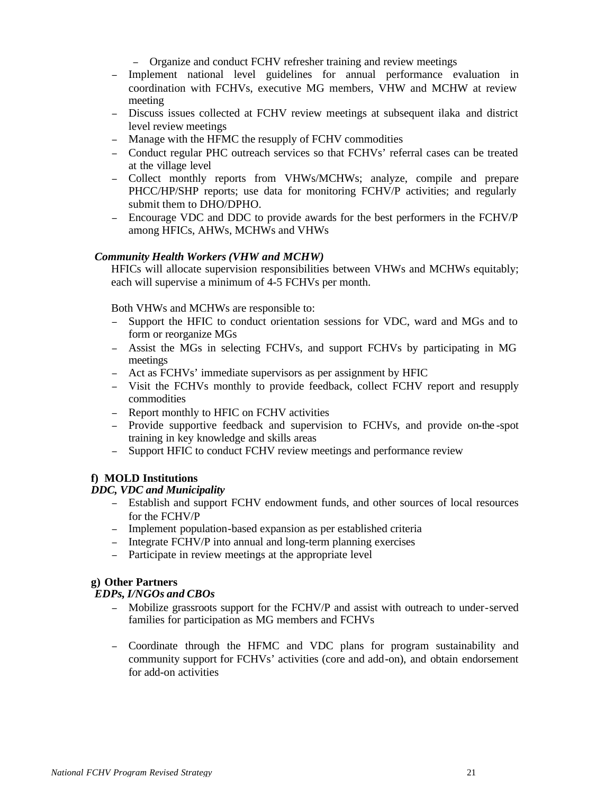<sup>−</sup> Organize and conduct FCHV refresher training and review meetings

- <sup>−</sup> Implement national level guidelines for annual performance evaluation in coordination with FCHVs, executive MG members, VHW and MCHW at review meeting
- <sup>−</sup> Discuss issues collected at FCHV review meetings at subsequent ilaka and district level review meetings
- <sup>−</sup> Manage with the HFMC the resupply of FCHV commodities
- <sup>−</sup> Conduct regular PHC outreach services so that FCHVs' referral cases can be treated at the village level
- <sup>−</sup> Collect monthly reports from VHWs/MCHWs; analyze, compile and prepare PHCC/HP/SHP reports; use data for monitoring FCHV/P activities; and regularly submit them to DHO/DPHO.
- <sup>−</sup> Encourage VDC and DDC to provide awards for the best performers in the FCHV/P among HFICs, AHWs, MCHWs and VHWs

#### *Community Health Workers (VHW and MCHW)*

HFICs will allocate supervision responsibilities between VHWs and MCHWs equitably; each will supervise a minimum of 4-5 FCHVs per month.

Both VHWs and MCHWs are responsible to:

- <sup>−</sup> Support the HFIC to conduct orientation sessions for VDC, ward and MGs and to form or reorganize MGs
- <sup>−</sup> Assist the MGs in selecting FCHVs, and support FCHVs by participating in MG meetings
- <sup>−</sup> Act as FCHVs' immediate supervisors as per assignment by HFIC
- Visit the FCHVs monthly to provide feedback, collect FCHV report and resupply commodities
- <sup>−</sup> Report monthly to HFIC on FCHV activities
- <sup>−</sup> Provide supportive feedback and supervision to FCHVs, and provide on-the -spot training in key knowledge and skills areas
- <sup>−</sup> Support HFIC to conduct FCHV review meetings and performance review

#### **f) MOLD Institutions**

#### *DDC, VDC and Municipality*

- <sup>−</sup> Establish and support FCHV endowment funds, and other sources of local resources for the FCHV/P
- <sup>−</sup> Implement population-based expansion as per established criteria
- <sup>−</sup> Integrate FCHV/P into annual and long-term planning exercises
- <sup>−</sup> Participate in review meetings at the appropriate level

#### **g) Other Partners**

#### *EDPs, I/NGOs and CBOs*

- <sup>−</sup> Mobilize grassroots support for the FCHV/P and assist with outreach to under-served families for participation as MG members and FCHVs
- <sup>−</sup> Coordinate through the HFMC and VDC plans for program sustainability and community support for FCHVs' activities (core and add-on), and obtain endorsement for add-on activities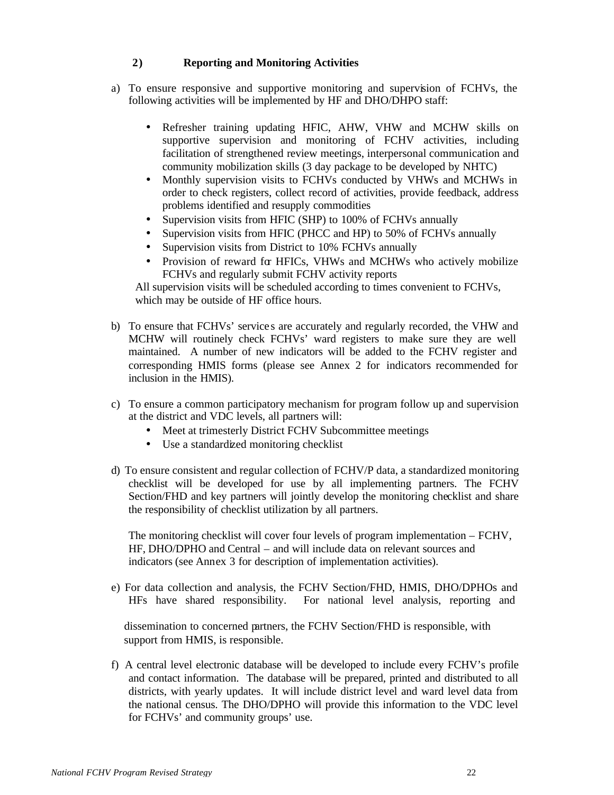#### **2) Reporting and Monitoring Activities**

- a) To ensure responsive and supportive monitoring and supervision of FCHVs, the following activities will be implemented by HF and DHO/DHPO staff:
	- Refresher training updating HFIC, AHW, VHW and MCHW skills on supportive supervision and monitoring of FCHV activities, including facilitation of strengthened review meetings, interpersonal communication and community mobilization skills (3 day package to be developed by NHTC)
	- Monthly supervision visits to FCHVs conducted by VHWs and MCHWs in order to check registers, collect record of activities, provide feedback, address problems identified and resupply commodities
	- Supervision visits from HFIC (SHP) to 100% of FCHVs annually
	- Supervision visits from HFIC (PHCC and HP) to 50% of FCHVs annually
	- Supervision visits from District to 10% FCHVs annually
	- Provision of reward for HFICs, VHWs and MCHWs who actively mobilize FCHVs and regularly submit FCHV activity reports

All supervision visits will be scheduled according to times convenient to FCHVs, which may be outside of HF office hours.

- b) To ensure that FCHVs' service s are accurately and regularly recorded, the VHW and MCHW will routinely check FCHVs' ward registers to make sure they are well maintained. A number of new indicators will be added to the FCHV register and corresponding HMIS forms (please see Annex 2 for indicators recommended for inclusion in the HMIS).
- c) To ensure a common participatory mechanism for program follow up and supervision at the district and VDC levels, all partners will:
	- Meet at trimesterly District FCHV Subcommittee meetings
	- Use a standardized monitoring checklist
- d) To ensure consistent and regular collection of FCHV/P data, a standardized monitoring checklist will be developed for use by all implementing partners. The FCHV Section/FHD and key partners will jointly develop the monitoring checklist and share the responsibility of checklist utilization by all partners.

The monitoring checklist will cover four levels of program implementation – FCHV, HF, DHO/DPHO and Central – and will include data on relevant sources and indicators (see Annex 3 for description of implementation activities).

e) For data collection and analysis, the FCHV Section/FHD, HMIS, DHO/DPHOs and HFs have shared responsibility. For national level analysis, reporting and

 dissemination to concerned partners, the FCHV Section/FHD is responsible, with support from HMIS, is responsible.

f) A central level electronic database will be developed to include every FCHV's profile and contact information. The database will be prepared, printed and distributed to all districts, with yearly updates. It will include district level and ward level data from the national census. The DHO/DPHO will provide this information to the VDC level for FCHVs' and community groups' use.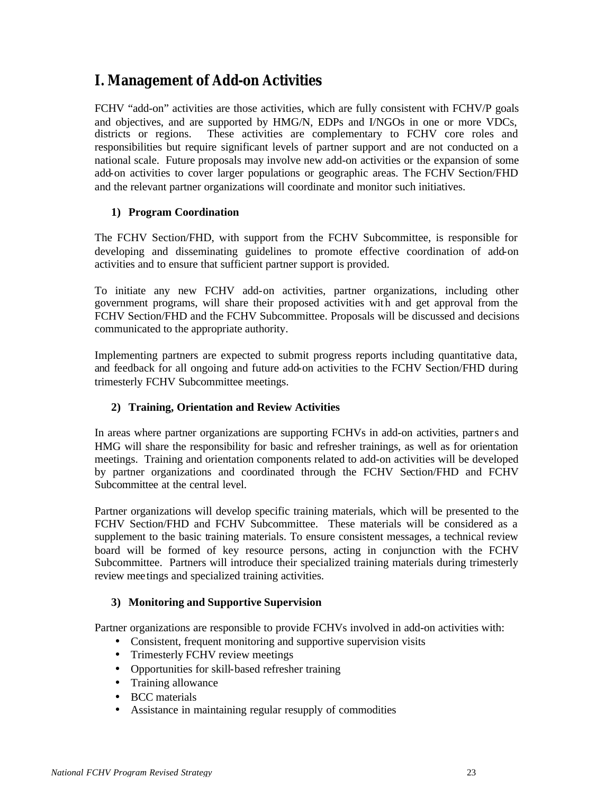## **I. Management of Add-on Activities**

FCHV "add-on" activities are those activities, which are fully consistent with FCHV/P goals and objectives, and are supported by HMG/N, EDPs and I/NGOs in one or more VDCs, districts or regions. These activities are complementary to FCHV core roles and responsibilities but require significant levels of partner support and are not conducted on a national scale. Future proposals may involve new add-on activities or the expansion of some add-on activities to cover larger populations or geographic areas. The FCHV Section/FHD and the relevant partner organizations will coordinate and monitor such initiatives.

#### **1) Program Coordination**

The FCHV Section/FHD, with support from the FCHV Subcommittee, is responsible for developing and disseminating guidelines to promote effective coordination of add-on activities and to ensure that sufficient partner support is provided.

To initiate any new FCHV add-on activities, partner organizations, including other government programs, will share their proposed activities wit h and get approval from the FCHV Section/FHD and the FCHV Subcommittee. Proposals will be discussed and decisions communicated to the appropriate authority.

Implementing partners are expected to submit progress reports including quantitative data, and feedback for all ongoing and future add-on activities to the FCHV Section/FHD during trimesterly FCHV Subcommittee meetings.

#### **2) Training, Orientation and Review Activities**

In areas where partner organizations are supporting FCHVs in add-on activities, partners and HMG will share the responsibility for basic and refresher trainings, as well as for orientation meetings. Training and orientation components related to add-on activities will be developed by partner organizations and coordinated through the FCHV Section/FHD and FCHV Subcommittee at the central level.

Partner organizations will develop specific training materials, which will be presented to the FCHV Section/FHD and FCHV Subcommittee. These materials will be considered as a supplement to the basic training materials. To ensure consistent messages, a technical review board will be formed of key resource persons, acting in conjunction with the FCHV Subcommittee. Partners will introduce their specialized training materials during trimesterly review mee tings and specialized training activities.

#### **3) Monitoring and Supportive Supervision**

Partner organizations are responsible to provide FCHVs involved in add-on activities with:

- Consistent, frequent monitoring and supportive supervision visits
- Trimesterly FCHV review meetings
- Opportunities for skill-based refresher training
- Training allowance
- BCC materials
- Assistance in maintaining regular resupply of commodities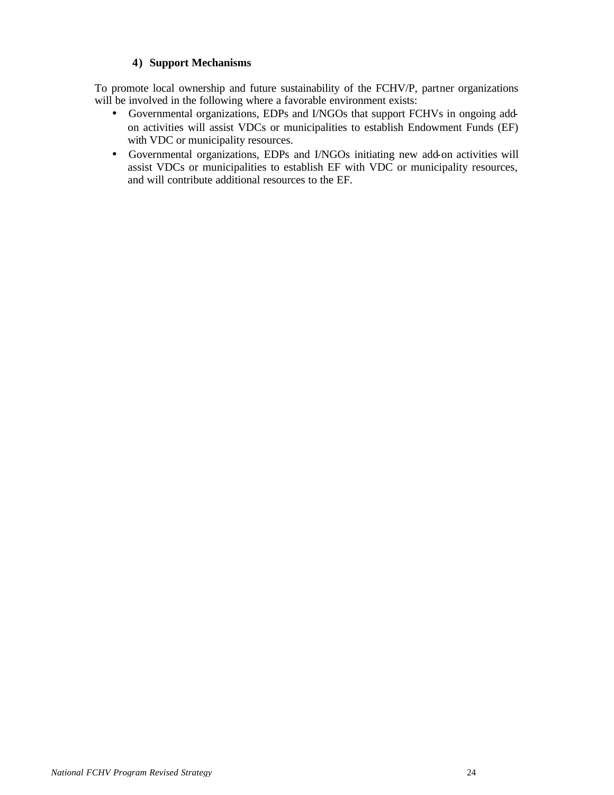#### **4) Support Mechanisms**

To promote local ownership and future sustainability of the FCHV/P, partner organizations will be involved in the following where a favorable environment exists:

- Governmental organizations, EDPs and I/NGOs that support FCHVs in ongoing addon activities will assist VDCs or municipalities to establish Endowment Funds (EF) with VDC or municipality resources.
- Governmental organizations, EDPs and I/NGOs initiating new add-on activities will assist VDCs or municipalities to establish EF with VDC or municipality resources, and will contribute additional resources to the EF.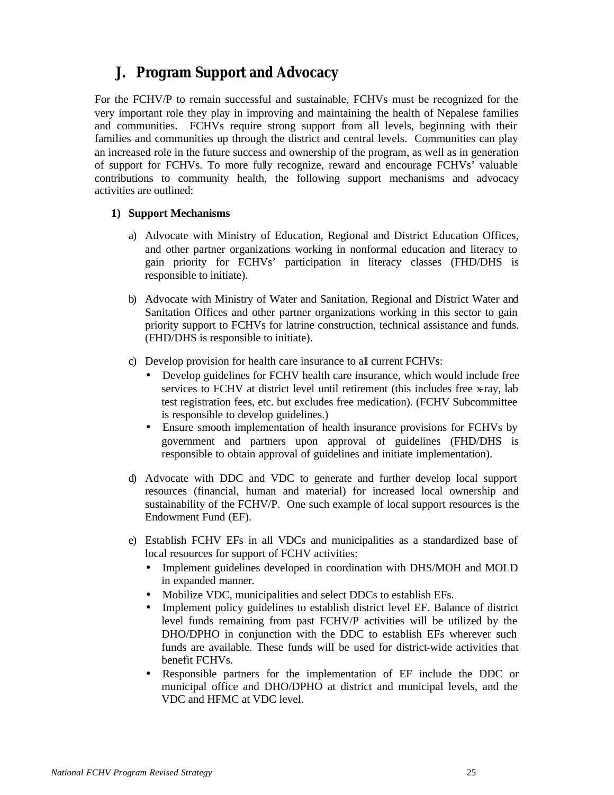## **J. Program Support and Advocacy**

For the FCHV/P to remain successful and sustainable, FCHVs must be recognized for the very important role they play in improving and maintaining the health of Nepalese families and communities. FCHVs require strong support from all levels, beginning with their families and communities up through the district and central levels. Communities can play an increased role in the future success and ownership of the program, as well as in generation of support for FCHVs. To more fully recognize, reward and encourage FCHVs' valuable contributions to community health, the following support mechanisms and advocacy activities are outlined:

#### **1) Support Mechanisms**

- a) Advocate with Ministry of Education, Regional and District Education Offices, and other partner organizations working in nonformal education and literacy to gain priority for FCHVs' participation in literacy classes (FHD/DHS is responsible to initiate).
- b) Advocate with Ministry of Water and Sanitation, Regional and District Water and Sanitation Offices and other partner organizations working in this sector to gain priority support to FCHVs for latrine construction, technical assistance and funds. (FHD/DHS is responsible to initiate).
- c) Develop provision for health care insurance to all current FCHVs:
	- Develop guidelines for FCHV health care insurance, which would include free services to FCHV at district level until retirement (this includes free x-ray, lab test registration fees, etc. but excludes free medication). (FCHV Subcommittee is responsible to develop guidelines.)
	- Ensure smooth implementation of health insurance provisions for FCHVs by government and partners upon approval of guidelines (FHD/DHS is responsible to obtain approval of guidelines and initiate implementation).
- d) Advocate with DDC and VDC to generate and further develop local support resources (financial, human and material) for increased local ownership and sustainability of the FCHV/P. One such example of local support resources is the Endowment Fund (EF).
- e) Establish FCHV EFs in all VDCs and municipalities as a standardized base of local resources for support of FCHV activities:
	- Implement guidelines developed in coordination with DHS/MOH and MOLD in expanded manner.
	- Mobilize VDC, municipalities and select DDCs to establish EFs.
	- Implement policy guidelines to establish district level EF. Balance of district level funds remaining from past FCHV/P activities will be utilized by the DHO/DPHO in conjunction with the DDC to establish EFs wherever such funds are available. These funds will be used for district-wide activities that benefit FCHVs.
	- Responsible partners for the implementation of EF include the DDC or municipal office and DHO/DPHO at district and municipal levels, and the VDC and HFMC at VDC level.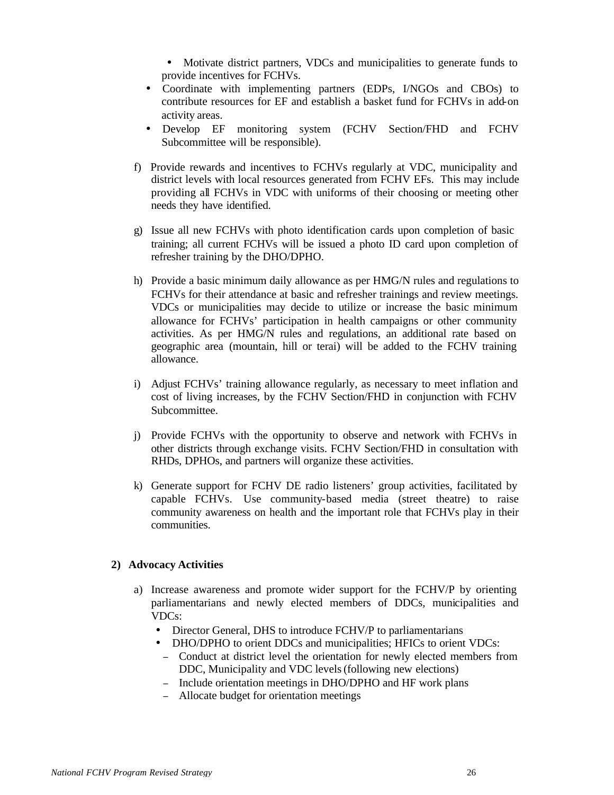• Motivate district partners, VDCs and municipalities to generate funds to provide incentives for FCHVs.

- Coordinate with implementing partners (EDPs, I/NGOs and CBOs) to contribute resources for EF and establish a basket fund for FCHVs in add-on activity areas.
- Develop EF monitoring system (FCHV Section/FHD and FCHV Subcommittee will be responsible).
- f) Provide rewards and incentives to FCHVs regularly at VDC, municipality and district levels with local resources generated from FCHV EFs. This may include providing all FCHVs in VDC with uniforms of their choosing or meeting other needs they have identified.
- g) Issue all new FCHVs with photo identification cards upon completion of basic training; all current FCHVs will be issued a photo ID card upon completion of refresher training by the DHO/DPHO.
- h) Provide a basic minimum daily allowance as per HMG/N rules and regulations to FCHVs for their attendance at basic and refresher trainings and review meetings. VDCs or municipalities may decide to utilize or increase the basic minimum allowance for FCHVs' participation in health campaigns or other community activities. As per HMG/N rules and regulations, an additional rate based on geographic area (mountain, hill or terai) will be added to the FCHV training allowance.
- i) Adjust FCHVs' training allowance regularly, as necessary to meet inflation and cost of living increases, by the FCHV Section/FHD in conjunction with FCHV Subcommittee.
- j) Provide FCHVs with the opportunity to observe and network with FCHVs in other districts through exchange visits. FCHV Section/FHD in consultation with RHDs, DPHOs, and partners will organize these activities.
- k) Generate support for FCHV DE radio listeners' group activities, facilitated by capable FCHVs. Use community-based media (street theatre) to raise community awareness on health and the important role that FCHVs play in their communities.

#### **2) Advocacy Activities**

- a) Increase awareness and promote wider support for the FCHV/P by orienting parliamentarians and newly elected members of DDCs, municipalities and VDCs:
	- Director General, DHS to introduce FCHV/P to parliamentarians
	- DHO/DPHO to orient DDCs and municipalities; HFICs to orient VDCs: <sup>−</sup> Conduct at district level the orientation for newly elected members from
		- DDC, Municipality and VDC levels (following new elections) <sup>−</sup> Include orientation meetings in DHO/DPHO and HF work plans
	- <sup>−</sup> Allocate budget for orientation meetings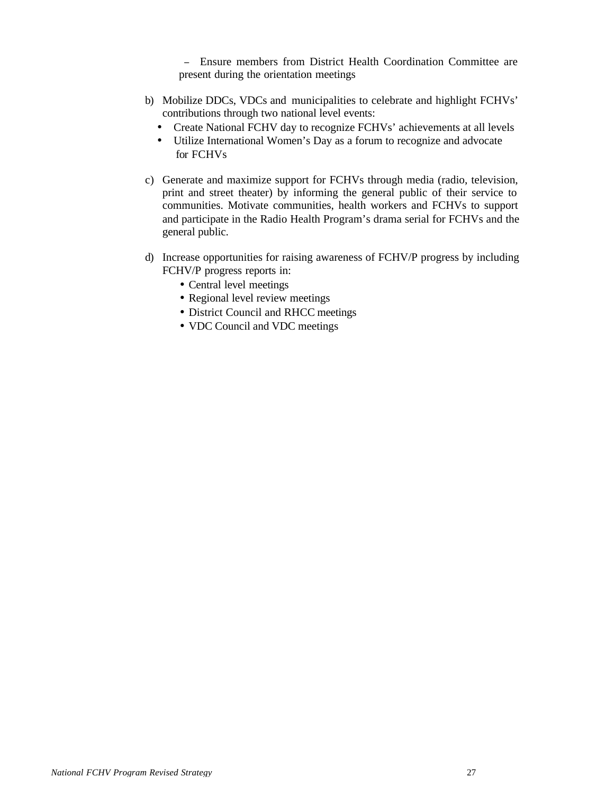<sup>−</sup> Ensure members from District Health Coordination Committee are present during the orientation meetings

- b) Mobilize DDCs, VDCs and municipalities to celebrate and highlight FCHVs' contributions through two national level events:
	- Create National FCHV day to recognize FCHVs' achievements at all levels
	- Utilize International Women's Day as a forum to recognize and advocate for FCHVs
- c) Generate and maximize support for FCHVs through media (radio, television, print and street theater) by informing the general public of their service to communities. Motivate communities, health workers and FCHVs to support and participate in the Radio Health Program's drama serial for FCHVs and the general public.
- d) Increase opportunities for raising awareness of FCHV/P progress by including FCHV/P progress reports in:
	- Central level meetings
	- Regional level review meetings
	- District Council and RHCC meetings
	- VDC Council and VDC meetings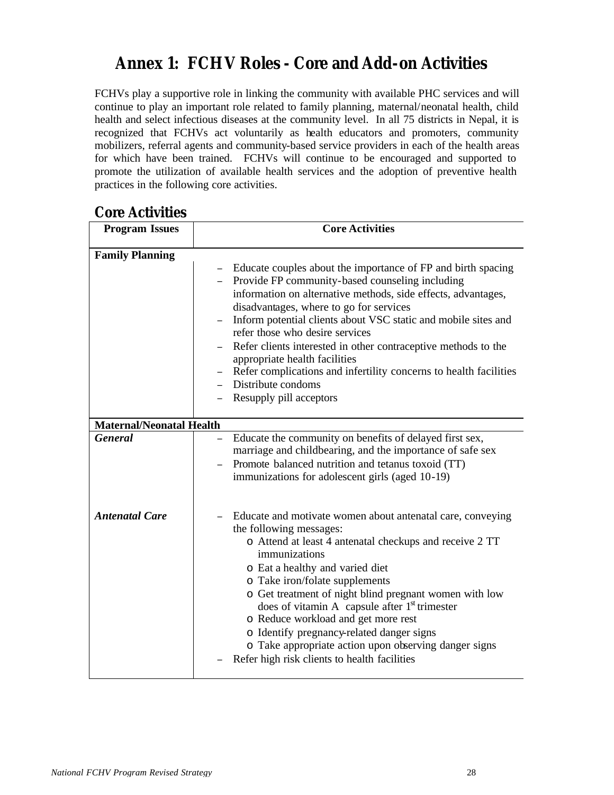# **Annex 1: FCHV Roles - Core and Add-on Activities**

FCHVs play a supportive role in linking the community with available PHC services and will continue to play an important role related to family planning, maternal/neonatal health, child health and select infectious diseases at the community level. In all 75 districts in Nepal, it is recognized that FCHVs act voluntarily as health educators and promoters, community mobilizers, referral agents and community-based service providers in each of the health areas for which have been trained. FCHVs will continue to be encouraged and supported to promote the utilization of available health services and the adoption of preventive health practices in the following core activities.

### **Core Activities**

| <b>Program Issues</b>           | <b>Core Activities</b>                                                                                                                                                                                                                                                                                                                                                                                                                                                                                                                                                              |  |  |  |
|---------------------------------|-------------------------------------------------------------------------------------------------------------------------------------------------------------------------------------------------------------------------------------------------------------------------------------------------------------------------------------------------------------------------------------------------------------------------------------------------------------------------------------------------------------------------------------------------------------------------------------|--|--|--|
|                                 |                                                                                                                                                                                                                                                                                                                                                                                                                                                                                                                                                                                     |  |  |  |
|                                 | <b>Family Planning</b><br>Educate couples about the importance of FP and birth spacing<br>Provide FP community-based counseling including<br>information on alternative methods, side effects, advantages,<br>disadvantages, where to go for services<br>Inform potential clients about VSC static and mobile sites and<br>refer those who desire services<br>Refer clients interested in other contraceptive methods to the<br>appropriate health facilities<br>Refer complications and infertility concerns to health facilities<br>Distribute condoms<br>Resupply pill acceptors |  |  |  |
| <b>Maternal/Neonatal Health</b> |                                                                                                                                                                                                                                                                                                                                                                                                                                                                                                                                                                                     |  |  |  |
| <b>General</b>                  | Educate the community on benefits of delayed first sex,<br>marriage and childbearing, and the importance of safe sex<br>Promote balanced nutrition and tetanus toxoid (TT)<br>immunizations for adolescent girls (aged 10-19)                                                                                                                                                                                                                                                                                                                                                       |  |  |  |
| <b>Antenatal Care</b>           | Educate and motivate women about antenatal care, conveying<br>the following messages:<br>o Attend at least 4 antenatal checkups and receive 2 TT<br>immunizations<br>o Eat a healthy and varied diet<br>o Take iron/folate supplements<br>o Get treatment of night blind pregnant women with low<br>does of vitamin A capsule after 1 <sup>st</sup> trimester<br>o Reduce workload and get more rest<br>o Identify pregnancy-related danger signs<br>o Take appropriate action upon observing danger signs<br>Refer high risk clients to health facilities                          |  |  |  |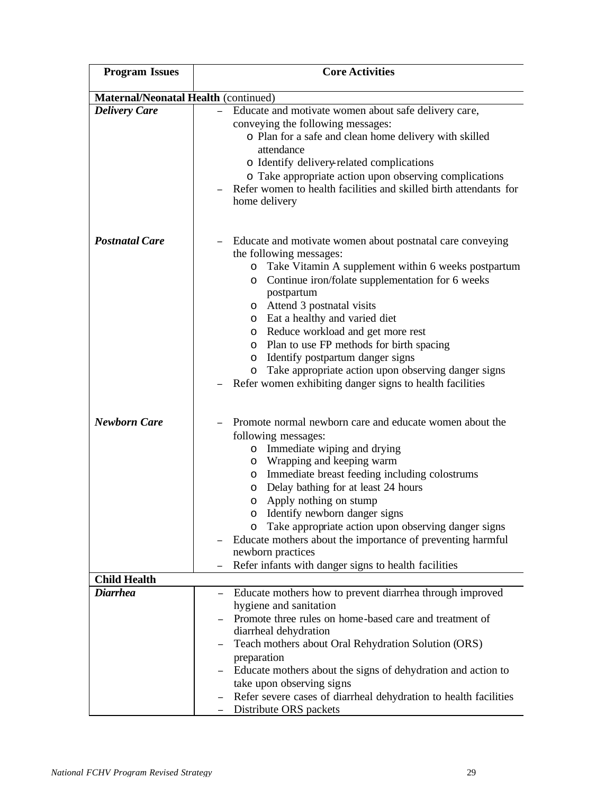| <b>Program Issues</b>                  | <b>Core Activities</b>                                                                                                                                                                                                                                                                                                                                                                                                                                                                                                                       |  |  |  |  |  |  |
|----------------------------------------|----------------------------------------------------------------------------------------------------------------------------------------------------------------------------------------------------------------------------------------------------------------------------------------------------------------------------------------------------------------------------------------------------------------------------------------------------------------------------------------------------------------------------------------------|--|--|--|--|--|--|
|                                        | Maternal/Neonatal Health (continued)                                                                                                                                                                                                                                                                                                                                                                                                                                                                                                         |  |  |  |  |  |  |
| <b>Delivery Care</b>                   | Educate and motivate women about safe delivery care,<br>conveying the following messages:<br>o Plan for a safe and clean home delivery with skilled<br>attendance<br>o Identify delivery-related complications<br>o Take appropriate action upon observing complications<br>Refer women to health facilities and skilled birth attendants for<br>home delivery                                                                                                                                                                               |  |  |  |  |  |  |
| <b>Postnatal Care</b>                  | Educate and motivate women about postnatal care conveying<br>the following messages:<br>o Take Vitamin A supplement within 6 weeks postpartum<br>Continue iron/folate supplementation for 6 weeks<br>$\circ$<br>postpartum<br>o Attend 3 postnatal visits<br>o Eat a healthy and varied diet<br>o Reduce workload and get more rest<br>o Plan to use FP methods for birth spacing<br>o Identify postpartum danger signs<br>o Take appropriate action upon observing danger signs<br>Refer women exhibiting danger signs to health facilities |  |  |  |  |  |  |
| <b>Newborn Care</b>                    | Promote normal newborn care and educate women about the<br>following messages:<br>Immediate wiping and drying<br>$\circ$<br>o Wrapping and keeping warm<br>o Immediate breast feeding including colostrums<br>o Delay bathing for at least 24 hours<br>Apply nothing on stump<br>O<br>o Identify newborn danger signs<br>Take appropriate action upon observing danger signs<br>$\circ$<br>Educate mothers about the importance of preventing harmful<br>newborn practices<br>Refer infants with danger signs to health facilities           |  |  |  |  |  |  |
| <b>Child Health</b><br><b>Diarrhea</b> |                                                                                                                                                                                                                                                                                                                                                                                                                                                                                                                                              |  |  |  |  |  |  |
|                                        | Educate mothers how to prevent diarrhea through improved<br>$\equiv$<br>hygiene and sanitation<br>Promote three rules on home-based care and treatment of<br>diarrheal dehydration<br>Teach mothers about Oral Rehydration Solution (ORS)<br>preparation<br>Educate mothers about the signs of dehydration and action to<br>take upon observing signs<br>Refer severe cases of diarrheal dehydration to health facilities<br>Distribute ORS packets                                                                                          |  |  |  |  |  |  |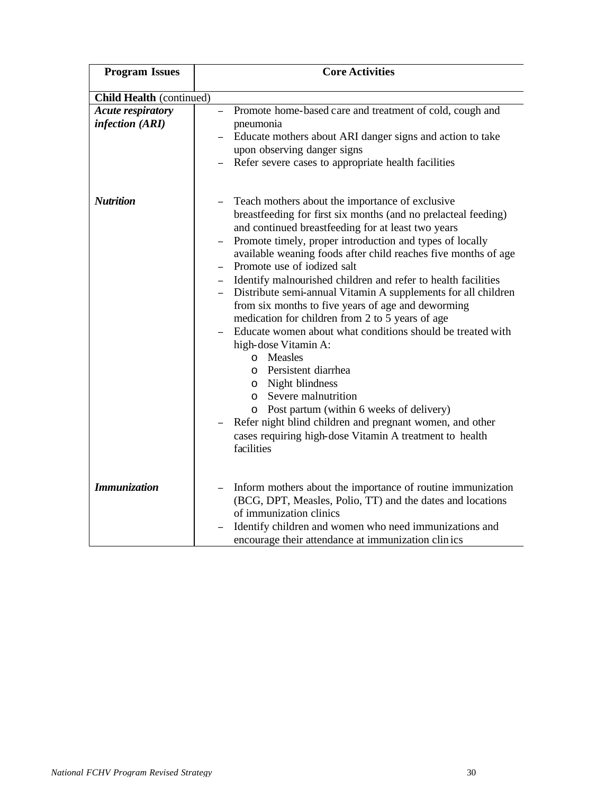| <b>Program Issues</b>                       | <b>Core Activities</b>                                                                                                                                                                                                                                                                                                                                                                                                                                                                                                                                                                                                                                                                                                                                                                                                                                                                                                                                                    |  |  |  |  |  |
|---------------------------------------------|---------------------------------------------------------------------------------------------------------------------------------------------------------------------------------------------------------------------------------------------------------------------------------------------------------------------------------------------------------------------------------------------------------------------------------------------------------------------------------------------------------------------------------------------------------------------------------------------------------------------------------------------------------------------------------------------------------------------------------------------------------------------------------------------------------------------------------------------------------------------------------------------------------------------------------------------------------------------------|--|--|--|--|--|
| <b>Child Health (continued)</b>             |                                                                                                                                                                                                                                                                                                                                                                                                                                                                                                                                                                                                                                                                                                                                                                                                                                                                                                                                                                           |  |  |  |  |  |
| <b>Acute respiratory</b><br>infection (ARI) | Promote home-based care and treatment of cold, cough and<br>$\equiv$<br>pneumonia<br>Educate mothers about ARI danger signs and action to take<br>upon observing danger signs<br>Refer severe cases to appropriate health facilities                                                                                                                                                                                                                                                                                                                                                                                                                                                                                                                                                                                                                                                                                                                                      |  |  |  |  |  |
| <b>Nutrition</b>                            | Teach mothers about the importance of exclusive<br>breastfeeding for first six months (and no prelacteal feeding)<br>and continued breastfeeding for at least two years<br>Promote timely, proper introduction and types of locally<br>available weaning foods after child reaches five months of age<br>Promote use of iodized salt<br>Identify malnourished children and refer to health facilities<br>Distribute semi-annual Vitamin A supplements for all children<br>from six months to five years of age and deworming<br>medication for children from 2 to 5 years of age<br>Educate women about what conditions should be treated with<br>high-dose Vitamin A:<br>o Measles<br>Persistent diarrhea<br>$\circ$<br>Night blindness<br>$\circ$<br>Severe malnutrition<br>$\Omega$<br>o Post partum (within 6 weeks of delivery)<br>Refer night blind children and pregnant women, and other<br>cases requiring high-dose Vitamin A treatment to health<br>facilities |  |  |  |  |  |
| <b>Immunization</b>                         | Inform mothers about the importance of routine immunization<br>(BCG, DPT, Measles, Polio, TT) and the dates and locations<br>of immunization clinics<br>Identify children and women who need immunizations and<br>encourage their attendance at immunization clinics                                                                                                                                                                                                                                                                                                                                                                                                                                                                                                                                                                                                                                                                                                      |  |  |  |  |  |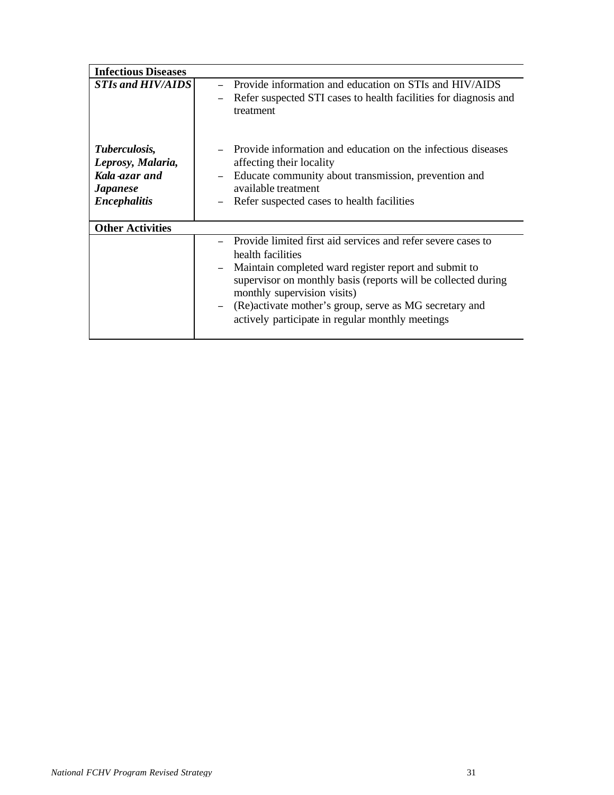| <b>Infectious Diseases</b>                                                                           |                                                                                                                                                                                                                                                                                                                                                                                   |
|------------------------------------------------------------------------------------------------------|-----------------------------------------------------------------------------------------------------------------------------------------------------------------------------------------------------------------------------------------------------------------------------------------------------------------------------------------------------------------------------------|
| <b>STIs and HIV/AIDS</b>                                                                             | Provide information and education on STIs and HIV/AIDS<br>Refer suspected STI cases to health facilities for diagnosis and<br>$\equiv$<br>treatment                                                                                                                                                                                                                               |
| Tuberculosis,<br>Leprosy, Malaria,<br>Kala-azar and<br><b><i>Japanese</i></b><br><b>Encephalitis</b> | Provide information and education on the infectious diseases<br>affecting their locality<br>Educate community about transmission, prevention and<br>$\equiv$<br>available treatment<br>Refer suspected cases to health facilities                                                                                                                                                 |
| <b>Other Activities</b>                                                                              |                                                                                                                                                                                                                                                                                                                                                                                   |
|                                                                                                      | Provide limited first aid services and refer severe cases to<br>health facilities<br>Maintain completed ward register report and submit to<br>$\equiv$<br>supervisor on monthly basis (reports will be collected during<br>monthly supervision visits)<br>(Re) activate mother's group, serve as MG secretary and<br>$\equiv$<br>actively participate in regular monthly meetings |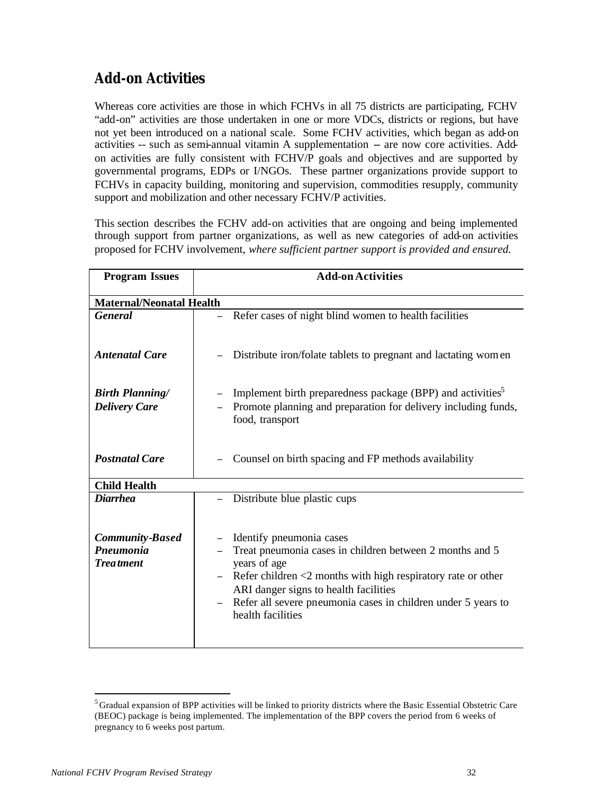## **Add-on Activities**

Whereas core activities are those in which FCHVs in all 75 districts are participating, FCHV "add-on" activities are those undertaken in one or more VDCs, districts or regions, but have not yet been introduced on a national scale. Some FCHV activities, which began as add-on activities -- such as semi-annual vitamin A supplementation -- are now core activities. Addon activities are fully consistent with FCHV/P goals and objectives and are supported by governmental programs, EDPs or I/NGOs. These partner organizations provide support to FCHVs in capacity building, monitoring and supervision, commodities resupply, community support and mobilization and other necessary FCHV/P activities.

This section describes the FCHV add-on activities that are ongoing and being implemented through support from partner organizations, as well as new categories of add-on activities proposed for FCHV involvement, *where sufficient partner support is provided and ensured.*

| <b>Program Issues</b>                          | <b>Add-on Activities</b>                                                                                                                                                                                    |  |  |  |  |  |  |
|------------------------------------------------|-------------------------------------------------------------------------------------------------------------------------------------------------------------------------------------------------------------|--|--|--|--|--|--|
| <b>Maternal/Neonatal Health</b>                |                                                                                                                                                                                                             |  |  |  |  |  |  |
| <b>General</b>                                 | Refer cases of night blind women to health facilities                                                                                                                                                       |  |  |  |  |  |  |
| <b>Antenatal Care</b>                          | Distribute iron/folate tablets to pregnant and lactating women                                                                                                                                              |  |  |  |  |  |  |
| <b>Birth Planning/</b><br><b>Delivery Care</b> | Implement birth preparedness package (BPP) and activities <sup>5</sup><br>Promote planning and preparation for delivery including funds,<br>food, transport                                                 |  |  |  |  |  |  |
| <b>Postnatal Care</b>                          | Counsel on birth spacing and FP methods availability                                                                                                                                                        |  |  |  |  |  |  |
| <b>Child Health</b>                            |                                                                                                                                                                                                             |  |  |  |  |  |  |
| <b>Diarrhea</b>                                | Distribute blue plastic cups                                                                                                                                                                                |  |  |  |  |  |  |
| <b>Community-Based</b><br>Pneumonia            | Identify pneumonia cases<br>Treat pneumonia cases in children between 2 months and 5                                                                                                                        |  |  |  |  |  |  |
| <b>Treatment</b>                               | years of age                                                                                                                                                                                                |  |  |  |  |  |  |
|                                                | Refer children $\leq$ months with high respiratory rate or other<br>ARI danger signs to health facilities<br>Refer all severe pneumonia cases in children under 5 years to<br>$\equiv$<br>health facilities |  |  |  |  |  |  |
|                                                |                                                                                                                                                                                                             |  |  |  |  |  |  |

l

<sup>&</sup>lt;sup>5</sup> Gradual expansion of BPP activities will be linked to priority districts where the Basic Essential Obstetric Care (BEOC) package is being implemented. The implementation of the BPP covers the period from 6 weeks of pregnancy to 6 weeks post partum.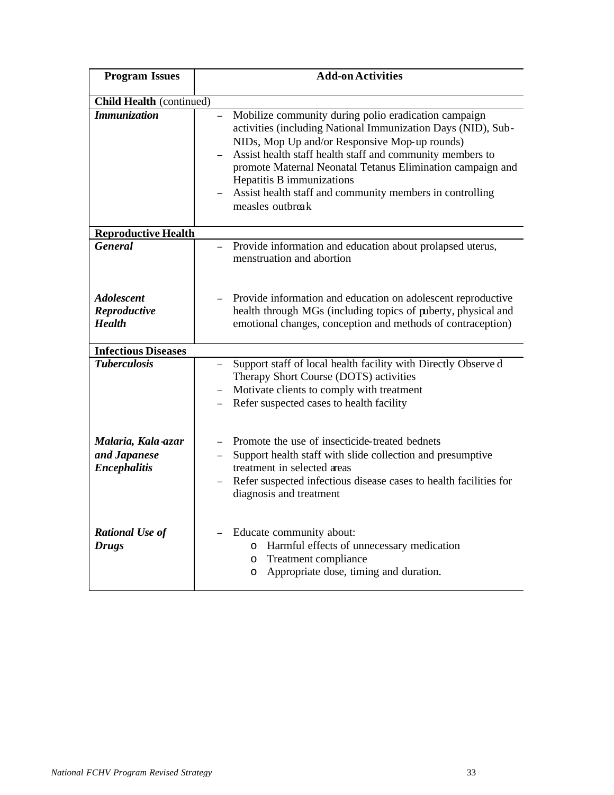| <b>Program Issues</b>                                     | <b>Add-on Activities</b>                                                                                                                                                                                                                                                                                                                                                                                                  |  |  |  |  |  |
|-----------------------------------------------------------|---------------------------------------------------------------------------------------------------------------------------------------------------------------------------------------------------------------------------------------------------------------------------------------------------------------------------------------------------------------------------------------------------------------------------|--|--|--|--|--|
| <b>Child Health</b> (continued)                           |                                                                                                                                                                                                                                                                                                                                                                                                                           |  |  |  |  |  |
| <b>Immunization</b>                                       | Mobilize community during polio eradication campaign<br>$\equiv$<br>activities (including National Immunization Days (NID), Sub-<br>NIDs, Mop Up and/or Responsive Mop-up rounds)<br>Assist health staff health staff and community members to<br>promote Maternal Neonatal Tetanus Elimination campaign and<br>Hepatitis B immunizations<br>Assist health staff and community members in controlling<br>measles outbreak |  |  |  |  |  |
| <b>Reproductive Health</b>                                |                                                                                                                                                                                                                                                                                                                                                                                                                           |  |  |  |  |  |
| <b>General</b>                                            | Provide information and education about prolapsed uterus,<br>menstruation and abortion                                                                                                                                                                                                                                                                                                                                    |  |  |  |  |  |
| <b>Adolescent</b><br>Reproductive<br><b>Health</b>        | Provide information and education on adolescent reproductive<br>health through MGs (including topics of puberty, physical and<br>emotional changes, conception and methods of contraception)                                                                                                                                                                                                                              |  |  |  |  |  |
| <b>Infectious Diseases</b>                                |                                                                                                                                                                                                                                                                                                                                                                                                                           |  |  |  |  |  |
| <b>Tuberculosis</b>                                       | Support staff of local health facility with Directly Observe d<br>Therapy Short Course (DOTS) activities<br>Motivate clients to comply with treatment<br>Refer suspected cases to health facility                                                                                                                                                                                                                         |  |  |  |  |  |
| Malaria, Kala-azar<br>and Japanese<br><b>Encephalitis</b> | Promote the use of insecticide-treated bednets<br>Support health staff with slide collection and presumptive<br>$\equiv$<br>treatment in selected areas<br>Refer suspected infectious disease cases to health facilities for<br>diagnosis and treatment                                                                                                                                                                   |  |  |  |  |  |
| <b>Rational Use of</b><br><b>Drugs</b>                    | Educate community about:<br>o Harmful effects of unnecessary medication<br>o Treatment compliance<br>o Appropriate dose, timing and duration.                                                                                                                                                                                                                                                                             |  |  |  |  |  |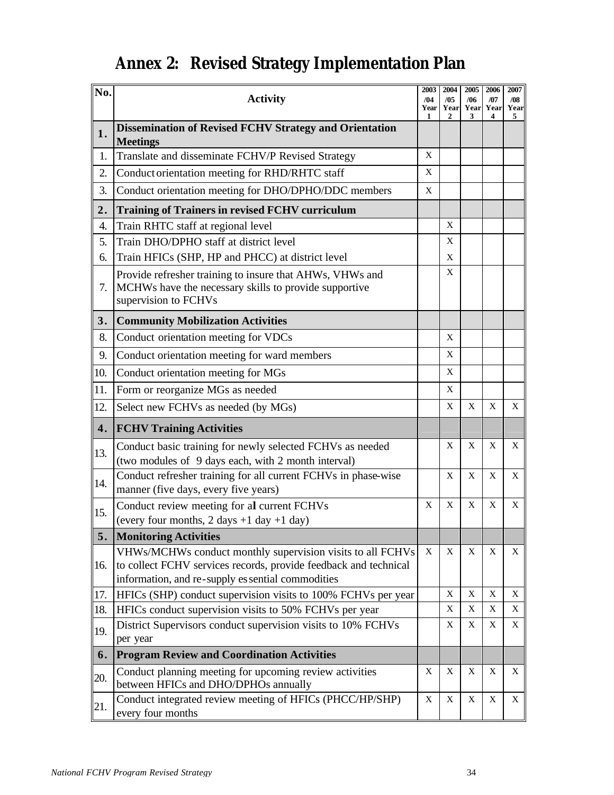# **Annex 2: Revised Strategy Implementation Plan**

| No.            | <b>Activity</b>                                                                                                                                                                     |   |             | 2005<br>/06<br>Year<br>Year<br>3 | 2006<br>/07<br>Year<br>4 | 2007<br>/08<br>Year<br>5 |
|----------------|-------------------------------------------------------------------------------------------------------------------------------------------------------------------------------------|---|-------------|----------------------------------|--------------------------|--------------------------|
| 1.             | <b>Dissemination of Revised FCHV Strategy and Orientation</b><br><b>Meetings</b>                                                                                                    |   |             |                                  |                          |                          |
| 1.             | Translate and disseminate FCHV/P Revised Strategy                                                                                                                                   | X |             |                                  |                          |                          |
| 2.             | Conduct orientation meeting for RHD/RHTC staff                                                                                                                                      | X |             |                                  |                          |                          |
| 3.             | Conduct orientation meeting for DHO/DPHO/DDC members                                                                                                                                | X |             |                                  |                          |                          |
| 2.             | <b>Training of Trainers in revised FCHV curriculum</b>                                                                                                                              |   |             |                                  |                          |                          |
| 4.             | Train RHTC staff at regional level                                                                                                                                                  |   | X           |                                  |                          |                          |
| 5.             | Train DHO/DPHO staff at district level                                                                                                                                              |   | X           |                                  |                          |                          |
| 6.             | Train HFICs (SHP, HP and PHCC) at district level                                                                                                                                    |   | X           |                                  |                          |                          |
| 7.             | Provide refresher training to insure that AHWs, VHWs and<br>MCHWs have the necessary skills to provide supportive<br>supervision to FCHVs                                           |   |             |                                  |                          |                          |
| 3.             | <b>Community Mobilization Activities</b>                                                                                                                                            |   |             |                                  |                          |                          |
| 8.             | Conduct orientation meeting for VDCs                                                                                                                                                |   | X           |                                  |                          |                          |
| 9.             | Conduct orientation meeting for ward members                                                                                                                                        |   | X           |                                  |                          |                          |
| 10.            | Conduct orientation meeting for MGs                                                                                                                                                 |   | X           |                                  |                          |                          |
| 11.            | Form or reorganize MGs as needed                                                                                                                                                    |   | X           |                                  |                          |                          |
| 12.            | Select new FCHVs as needed (by MGs)                                                                                                                                                 |   | X           | X                                | X                        | X                        |
| 4.             | <b>FCHV Training Activities</b>                                                                                                                                                     |   |             |                                  |                          |                          |
| 13.            | Conduct basic training for newly selected FCHVs as needed<br>(two modules of 9 days each, with 2 month interval)                                                                    |   | X           | X                                | X                        | X                        |
| 14.            | Conduct refresher training for all current FCHVs in phase-wise<br>manner (five days, every five years)                                                                              |   | X           | X                                | X                        | X                        |
| 15.            | Conduct review meeting for al current FCHVs                                                                                                                                         | X | X           | X                                | X                        | X                        |
|                | (every four months, $2 \text{ days} + 1 \text{ day} + 1 \text{ day}$ )                                                                                                              |   |             |                                  |                          |                          |
| 5.             | <b>Monitoring Activities</b>                                                                                                                                                        |   |             |                                  |                          |                          |
| <sup>16.</sup> | VHWs/MCHWs conduct monthly supervision visits to all FCHVs<br>to collect FCHV services records, provide feedback and technical<br>information, and re-supply es sential commodities | X | $\mathbf X$ | X                                | X                        | X                        |
| 17.            | HFICs (SHP) conduct supervision visits to 100% FCHVs per year                                                                                                                       |   | $\mathbf X$ | $\mathbf X$                      | $\mathbf X$              | X                        |
| 18.            | HFICs conduct supervision visits to 50% FCHVs per year                                                                                                                              |   | X           | Χ                                | Χ                        | X                        |
| 19.            | District Supervisors conduct supervision visits to 10% FCHVs<br>per year                                                                                                            |   | X           | X                                | X                        | X                        |
| 6.             | <b>Program Review and Coordination Activities</b>                                                                                                                                   |   |             |                                  |                          |                          |
| 20.            | Conduct planning meeting for upcoming review activities<br>between HFICs and DHO/DPHOs annually                                                                                     | X | X           | X                                | X                        | X                        |
| 21.            | Conduct integrated review meeting of HFICs (PHCC/HP/SHP)<br>every four months                                                                                                       | X | X           | X                                | X                        | X                        |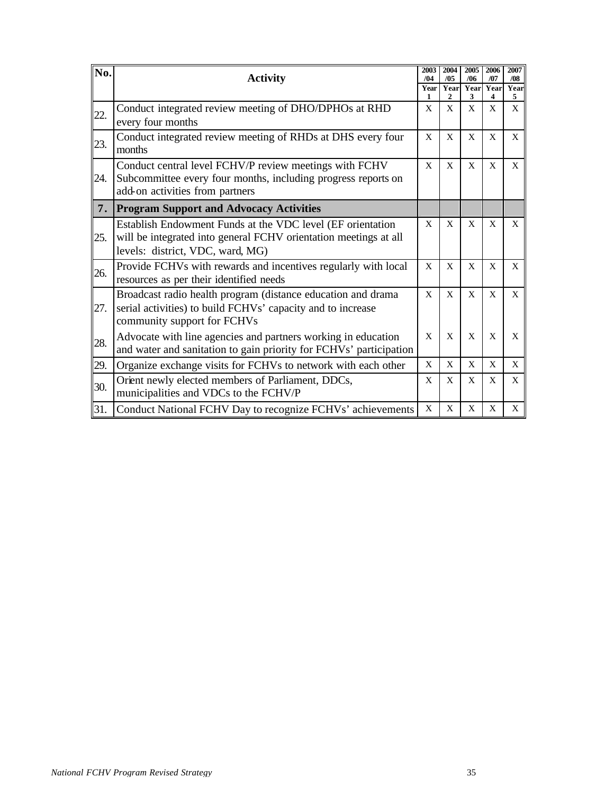| No. | <b>Activity</b>                                                                                                                                                    | 2003<br>/04  | 2004<br>/05 | 2005<br>/06  | 2006<br>/07 | 2007<br>/08       |
|-----|--------------------------------------------------------------------------------------------------------------------------------------------------------------------|--------------|-------------|--------------|-------------|-------------------|
|     |                                                                                                                                                                    | Year<br>1    | Year<br>2   | Year<br>3    | Year<br>4   | Year<br>5         |
| 22. | Conduct integrated review meeting of DHO/DPHOs at RHD<br>every four months                                                                                         | X            | X           | X            | X           | X                 |
| 23. | Conduct integrated review meeting of RHDs at DHS every four<br>months                                                                                              | X            | X           | X            | X           | X                 |
| 24. | Conduct central level FCHV/P review meetings with FCHV<br>Subcommittee every four months, including progress reports on<br>add-on activities from partners         | $\mathbf{X}$ | X           | X            | X           | X                 |
| 7.  | <b>Program Support and Advocacy Activities</b>                                                                                                                     |              |             |              |             |                   |
| 25. | Establish Endowment Funds at the VDC level (EF orientation<br>will be integrated into general FCHV orientation meetings at all<br>levels: district, VDC, ward, MG) | X            | X           | X            | X           | X                 |
| 26. | Provide FCHVs with rewards and incentives regularly with local<br>resources as per their identified needs                                                          | X            | X           | X            | X           | X                 |
| 27. | Broadcast radio health program (distance education and drama<br>serial activities) to build FCHVs' capacity and to increase<br>community support for FCHVs         | X            | X           | $\mathbf{x}$ | X           | $\mathbf{X}$      |
| 28. | Advocate with line agencies and partners working in education<br>and water and sanitation to gain priority for FCHVs' participation                                | X            | X           | X            | X           | $\mathbf{X}$      |
| 29. | Organize exchange visits for FCHVs to network with each other                                                                                                      | X            | X           | $\mathbf{X}$ | X           | X                 |
| 30. | Orient newly elected members of Parliament, DDCs,<br>municipalities and VDCs to the FCHV/P                                                                         | X            | X           | X            | X           | X                 |
| 31. | Conduct National FCHV Day to recognize FCHVs' achievements                                                                                                         | X            | X           | X            | X           | $X_{\mathcal{C}}$ |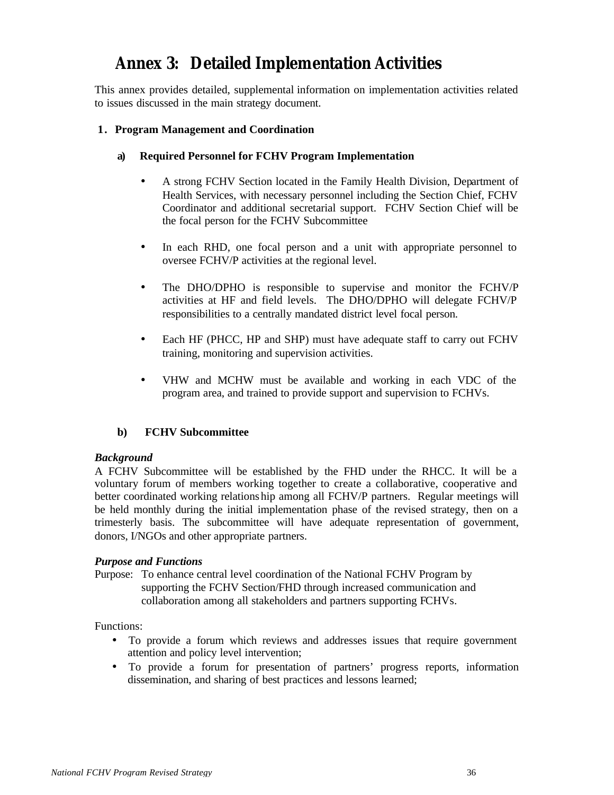## **Annex 3: Detailed Implementation Activities**

This annex provides detailed, supplemental information on implementation activities related to issues discussed in the main strategy document.

#### **1. Program Management and Coordination**

- **a) Required Personnel for FCHV Program Implementation**
	- A strong FCHV Section located in the Family Health Division, Department of Health Services, with necessary personnel including the Section Chief, FCHV Coordinator and additional secretarial support. FCHV Section Chief will be the focal person for the FCHV Subcommittee
	- In each RHD, one focal person and a unit with appropriate personnel to oversee FCHV/P activities at the regional level.
	- The DHO/DPHO is responsible to supervise and monitor the FCHV/P activities at HF and field levels. The DHO/DPHO will delegate FCHV/P responsibilities to a centrally mandated district level focal person.
	- Each HF (PHCC, HP and SHP) must have adequate staff to carry out FCHV training, monitoring and supervision activities.
	- VHW and MCHW must be available and working in each VDC of the program area, and trained to provide support and supervision to FCHVs.

#### **b) FCHV Subcommittee**

#### *Background*

A FCHV Subcommittee will be established by the FHD under the RHCC. It will be a voluntary forum of members working together to create a collaborative, cooperative and better coordinated working relations hip among all FCHV/P partners. Regular meetings will be held monthly during the initial implementation phase of the revised strategy, then on a trimesterly basis. The subcommittee will have adequate representation of government, donors, I/NGOs and other appropriate partners.

#### *Purpose and Functions*

Purpose: To enhance central level coordination of the National FCHV Program by supporting the FCHV Section/FHD through increased communication and collaboration among all stakeholders and partners supporting FCHVs.

Functions:

- To provide a forum which reviews and addresses issues that require government attention and policy level intervention;
- To provide a forum for presentation of partners' progress reports, information dissemination, and sharing of best practices and lessons learned;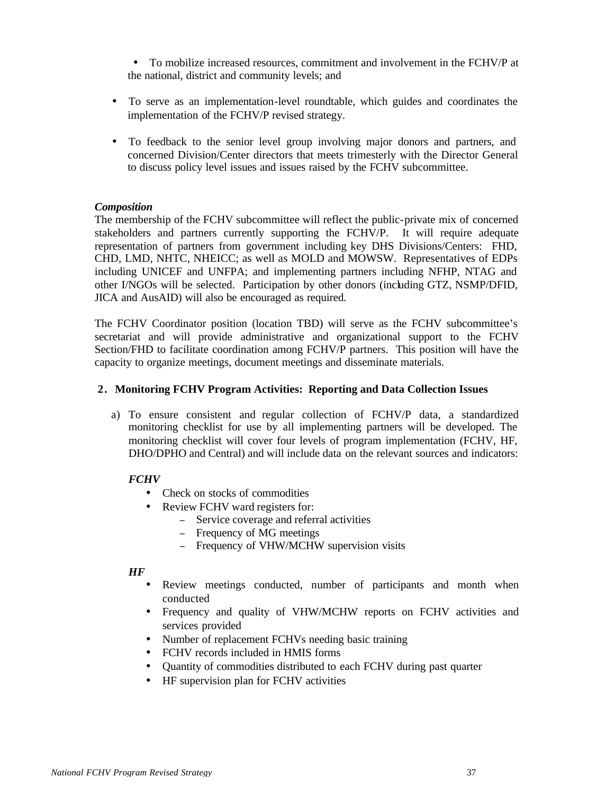• To mobilize increased resources, commitment and involvement in the FCHV/P at the national, district and community levels; and

- To serve as an implementation-level roundtable, which guides and coordinates the implementation of the FCHV/P revised strategy.
- To feedback to the senior level group involving major donors and partners, and concerned Division/Center directors that meets trimesterly with the Director General to discuss policy level issues and issues raised by the FCHV subcommittee.

#### *Composition*

The membership of the FCHV subcommittee will reflect the public-private mix of concerned stakeholders and partners currently supporting the FCHV/P. It will require adequate representation of partners from government including key DHS Divisions/Centers: FHD, CHD, LMD, NHTC, NHEICC; as well as MOLD and MOWSW. Representatives of EDPs including UNICEF and UNFPA; and implementing partners including NFHP, NTAG and other I/NGOs will be selected. Participation by other donors (including GTZ, NSMP/DFID, JICA and AusAID) will also be encouraged as required.

The FCHV Coordinator position (location TBD) will serve as the FCHV subcommittee's secretariat and will provide administrative and organizational support to the FCHV Section/FHD to facilitate coordination among FCHV/P partners. This position will have the capacity to organize meetings, document meetings and disseminate materials.

#### **2. Monitoring FCHV Program Activities: Reporting and Data Collection Issues**

a) To ensure consistent and regular collection of FCHV/P data, a standardized monitoring checklist for use by all implementing partners will be developed. The monitoring checklist will cover four levels of program implementation (FCHV, HF, DHO/DPHO and Central) and will include data on the relevant sources and indicators:

#### *FCHV*

- Check on stocks of commodities
- Review FCHV ward registers for:
	- <sup>−</sup> Service coverage and referral activities
	- <sup>−</sup> Frequency of MG meetings
	- Frequency of VHW/MCHW supervision visits

#### *HF*

- Review meetings conducted, number of participants and month when conducted
- Frequency and quality of VHW/MCHW reports on FCHV activities and services provided
- Number of replacement FCHVs needing basic training
- FCHV records included in HMIS forms
- Quantity of commodities distributed to each FCHV during past quarter
- HF supervision plan for FCHV activities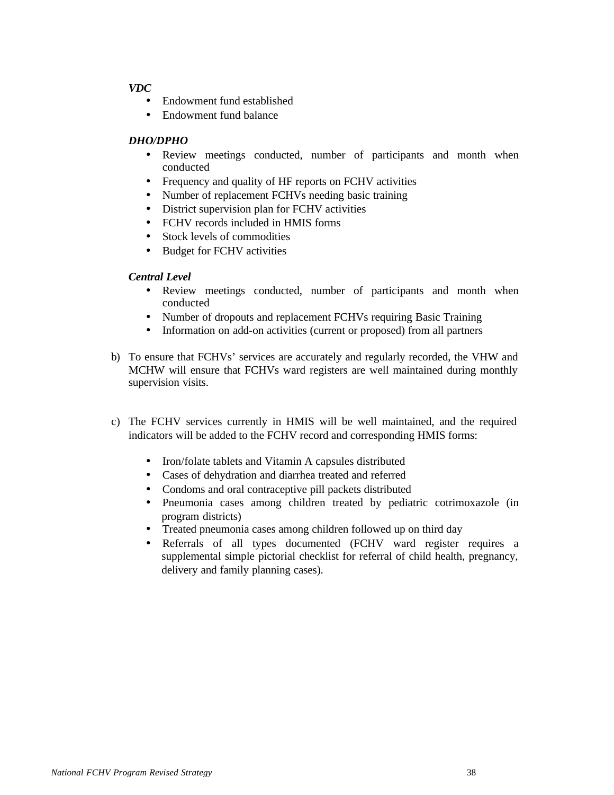#### *VDC*

- Endowment fund established
- Endowment fund balance

#### *DHO/DPHO*

- Review meetings conducted, number of participants and month when conducted
- Frequency and quality of HF reports on FCHV activities
- Number of replacement FCHVs needing basic training
- District supervision plan for FCHV activities
- FCHV records included in HMIS forms
- Stock levels of commodities
- Budget for FCHV activities

#### *Central Level*

- Review meetings conducted, number of participants and month when conducted
- Number of dropouts and replacement FCHVs requiring Basic Training
- Information on add-on activities (current or proposed) from all partners
- b) To ensure that FCHVs' services are accurately and regularly recorded, the VHW and MCHW will ensure that FCHVs ward registers are well maintained during monthly supervision visits.
- c) The FCHV services currently in HMIS will be well maintained, and the required indicators will be added to the FCHV record and corresponding HMIS forms:
	- Iron/folate tablets and Vitamin A capsules distributed
	- Cases of dehydration and diarrhea treated and referred
	- Condoms and oral contraceptive pill packets distributed
	- Pneumonia cases among children treated by pediatric cotrimoxazole (in program districts)
	- Treated pneumonia cases among children followed up on third day
	- Referrals of all types documented (FCHV ward register requires a supplemental simple pictorial checklist for referral of child health, pregnancy, delivery and family planning cases).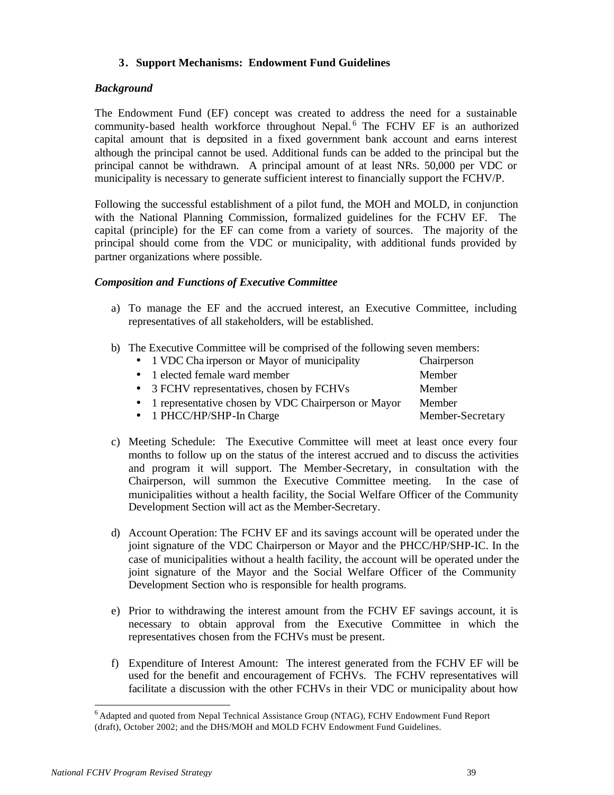#### **3. Support Mechanisms: Endowment Fund Guidelines**

#### *Background*

The Endowment Fund (EF) concept was created to address the need for a sustainable community-based health workforce throughout Nepal.<sup>6</sup> The FCHV EF is an authorized capital amount that is deposited in a fixed government bank account and earns interest although the principal cannot be used. Additional funds can be added to the principal but the principal cannot be withdrawn. A principal amount of at least NRs. 50,000 per VDC or municipality is necessary to generate sufficient interest to financially support the FCHV/P.

Following the successful establishment of a pilot fund, the MOH and MOLD, in conjunction with the National Planning Commission, formalized guidelines for the FCHV EF. The capital (principle) for the EF can come from a variety of sources. The majority of the principal should come from the VDC or municipality, with additional funds provided by partner organizations where possible.

#### *Composition and Functions of Executive Committee*

- a) To manage the EF and the accrued interest, an Executive Committee, including representatives of all stakeholders, will be established.
- b) The Executive Committee will be comprised of the following seven members:

| • 1 VDC Cha irperson or Mayor of municipality         | Chairperson      |
|-------------------------------------------------------|------------------|
| • 1 elected female ward member                        | Member           |
| • 3 FCHV representatives, chosen by FCHVs             | Member           |
| • 1 representative chosen by VDC Chairperson or Mayor | Member           |
| • 1 PHCC/HP/SHP-In Charge                             | Member-Secretary |
|                                                       |                  |

- c) Meeting Schedule: The Executive Committee will meet at least once every four months to follow up on the status of the interest accrued and to discuss the activities and program it will support. The Member-Secretary, in consultation with the Chairperson, will summon the Executive Committee meeting. In the case of municipalities without a health facility, the Social Welfare Officer of the Community Development Section will act as the Member-Secretary.
- d) Account Operation: The FCHV EF and its savings account will be operated under the joint signature of the VDC Chairperson or Mayor and the PHCC/HP/SHP-IC. In the case of municipalities without a health facility, the account will be operated under the joint signature of the Mayor and the Social Welfare Officer of the Community Development Section who is responsible for health programs.
- e) Prior to withdrawing the interest amount from the FCHV EF savings account, it is necessary to obtain approval from the Executive Committee in which the representatives chosen from the FCHVs must be present.
- f) Expenditure of Interest Amount: The interest generated from the FCHV EF will be used for the benefit and encouragement of FCHVs. The FCHV representatives will facilitate a discussion with the other FCHVs in their VDC or municipality about how

l

<sup>&</sup>lt;sup>6</sup> Adapted and quoted from Nepal Technical Assistance Group (NTAG), FCHV Endowment Fund Report (draft), October 2002; and the DHS/MOH and MOLD FCHV Endowment Fund Guidelines.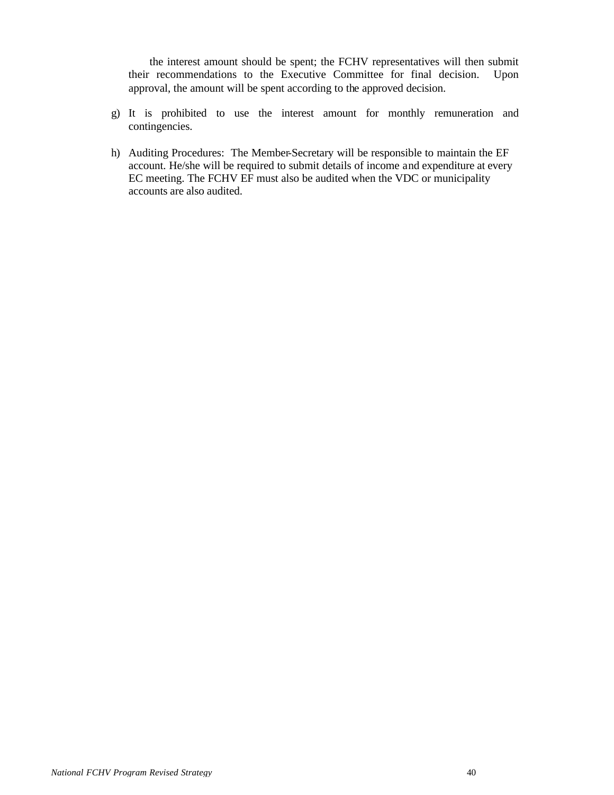the interest amount should be spent; the FCHV representatives will then submit their recommendations to the Executive Committee for final decision. Upon approval, the amount will be spent according to the approved decision.

- g) It is prohibited to use the interest amount for monthly remuneration and contingencies.
- h) Auditing Procedures: The Member-Secretary will be responsible to maintain the EF account. He/she will be required to submit details of income and expenditure at every EC meeting. The FCHV EF must also be audited when the VDC or municipality accounts are also audited.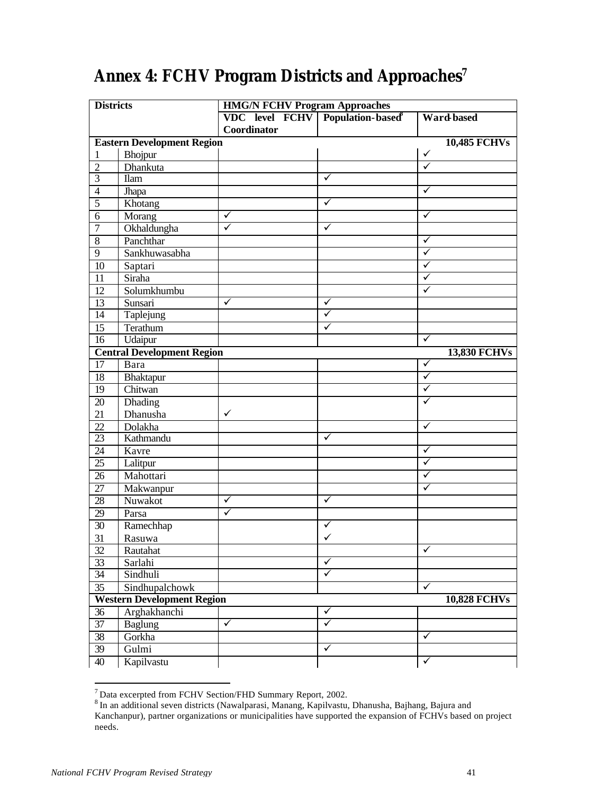| <b>Districts</b>                                                                                                                                                                 |                                                                                                                                                                                                                                                                                                                                                       | <b>HMG/N FCHV Program Approaches</b> |              |                                            |  |
|----------------------------------------------------------------------------------------------------------------------------------------------------------------------------------|-------------------------------------------------------------------------------------------------------------------------------------------------------------------------------------------------------------------------------------------------------------------------------------------------------------------------------------------------------|--------------------------------------|--------------|--------------------------------------------|--|
|                                                                                                                                                                                  |                                                                                                                                                                                                                                                                                                                                                       | VDC level FCHV Population-based      |              | <b>Ward based</b>                          |  |
|                                                                                                                                                                                  |                                                                                                                                                                                                                                                                                                                                                       | Coordinator                          |              |                                            |  |
|                                                                                                                                                                                  | <b>Eastern Development Region</b>                                                                                                                                                                                                                                                                                                                     |                                      |              | <b>10,485 FCHVs</b>                        |  |
| 1                                                                                                                                                                                | Bhojpur                                                                                                                                                                                                                                                                                                                                               |                                      |              | ✓                                          |  |
| $\overline{2}$                                                                                                                                                                   | Dhankuta                                                                                                                                                                                                                                                                                                                                              |                                      |              | $\checkmark$                               |  |
| $\overline{3}$                                                                                                                                                                   | <b>Ilam</b>                                                                                                                                                                                                                                                                                                                                           |                                      | ✓            |                                            |  |
| $\overline{4}$                                                                                                                                                                   | Jhapa                                                                                                                                                                                                                                                                                                                                                 |                                      |              | ✓                                          |  |
| $\overline{5}$                                                                                                                                                                   | Khotang                                                                                                                                                                                                                                                                                                                                               |                                      | ✓            |                                            |  |
| 6                                                                                                                                                                                | Morang                                                                                                                                                                                                                                                                                                                                                | $\checkmark$                         |              | ✓                                          |  |
| 7                                                                                                                                                                                | Okhaldungha                                                                                                                                                                                                                                                                                                                                           | $\checkmark$                         | ✓            |                                            |  |
| 8                                                                                                                                                                                | Panchthar                                                                                                                                                                                                                                                                                                                                             |                                      |              | ✓                                          |  |
| 9                                                                                                                                                                                | Sankhuwasabha                                                                                                                                                                                                                                                                                                                                         |                                      |              | $\checkmark$                               |  |
| 10                                                                                                                                                                               | Saptari                                                                                                                                                                                                                                                                                                                                               |                                      |              | ✓                                          |  |
| 11                                                                                                                                                                               | Siraha                                                                                                                                                                                                                                                                                                                                                |                                      |              | ✓                                          |  |
| 12                                                                                                                                                                               | Solumkhumbu                                                                                                                                                                                                                                                                                                                                           |                                      |              | ✓                                          |  |
|                                                                                                                                                                                  |                                                                                                                                                                                                                                                                                                                                                       | $\checkmark$                         | ✓            |                                            |  |
| 14                                                                                                                                                                               |                                                                                                                                                                                                                                                                                                                                                       |                                      | ✓            |                                            |  |
|                                                                                                                                                                                  |                                                                                                                                                                                                                                                                                                                                                       |                                      | ✓            |                                            |  |
|                                                                                                                                                                                  |                                                                                                                                                                                                                                                                                                                                                       |                                      |              | $\checkmark$                               |  |
|                                                                                                                                                                                  |                                                                                                                                                                                                                                                                                                                                                       |                                      |              |                                            |  |
| 17                                                                                                                                                                               | Bara                                                                                                                                                                                                                                                                                                                                                  |                                      |              | $\checkmark$                               |  |
|                                                                                                                                                                                  |                                                                                                                                                                                                                                                                                                                                                       |                                      |              | $\checkmark$                               |  |
| 19                                                                                                                                                                               |                                                                                                                                                                                                                                                                                                                                                       |                                      |              | ✓                                          |  |
|                                                                                                                                                                                  |                                                                                                                                                                                                                                                                                                                                                       |                                      |              | ✓                                          |  |
| 21                                                                                                                                                                               |                                                                                                                                                                                                                                                                                                                                                       | $\checkmark$                         |              |                                            |  |
| 22                                                                                                                                                                               | Dolakha                                                                                                                                                                                                                                                                                                                                               |                                      |              | ✓                                          |  |
| $\overline{23}$                                                                                                                                                                  | Kathmandu                                                                                                                                                                                                                                                                                                                                             |                                      | ✓            |                                            |  |
| 24                                                                                                                                                                               | Kavre                                                                                                                                                                                                                                                                                                                                                 |                                      |              | $\checkmark$                               |  |
| 25                                                                                                                                                                               |                                                                                                                                                                                                                                                                                                                                                       |                                      |              | $\checkmark$                               |  |
| 26                                                                                                                                                                               | Mahottari                                                                                                                                                                                                                                                                                                                                             |                                      |              | ✓                                          |  |
| 27                                                                                                                                                                               |                                                                                                                                                                                                                                                                                                                                                       |                                      |              | ✓                                          |  |
| 28                                                                                                                                                                               | Nuwakot                                                                                                                                                                                                                                                                                                                                               | ✓                                    | ✓            |                                            |  |
|                                                                                                                                                                                  |                                                                                                                                                                                                                                                                                                                                                       | $\checkmark$                         |              |                                            |  |
|                                                                                                                                                                                  |                                                                                                                                                                                                                                                                                                                                                       |                                      |              |                                            |  |
|                                                                                                                                                                                  |                                                                                                                                                                                                                                                                                                                                                       |                                      | ✓            |                                            |  |
|                                                                                                                                                                                  |                                                                                                                                                                                                                                                                                                                                                       |                                      |              | $\checkmark$                               |  |
|                                                                                                                                                                                  |                                                                                                                                                                                                                                                                                                                                                       |                                      | ✓            |                                            |  |
|                                                                                                                                                                                  |                                                                                                                                                                                                                                                                                                                                                       |                                      | ✓            |                                            |  |
|                                                                                                                                                                                  |                                                                                                                                                                                                                                                                                                                                                       |                                      |              | ✓                                          |  |
|                                                                                                                                                                                  |                                                                                                                                                                                                                                                                                                                                                       |                                      |              |                                            |  |
|                                                                                                                                                                                  |                                                                                                                                                                                                                                                                                                                                                       |                                      | $\checkmark$ |                                            |  |
|                                                                                                                                                                                  |                                                                                                                                                                                                                                                                                                                                                       | $\checkmark$                         | ✓            |                                            |  |
|                                                                                                                                                                                  |                                                                                                                                                                                                                                                                                                                                                       |                                      |              | ✓                                          |  |
|                                                                                                                                                                                  |                                                                                                                                                                                                                                                                                                                                                       |                                      | ✓            |                                            |  |
|                                                                                                                                                                                  |                                                                                                                                                                                                                                                                                                                                                       |                                      |              | ✓                                          |  |
| 13<br>15<br>16<br>18<br>20<br>29<br>$\overline{30}$<br>31<br>32<br>$\overline{33}$<br>$\overline{34}$<br>$\overline{35}$<br>36<br>$\overline{37}$<br>38<br>39<br>$\overline{40}$ | Sunsari<br>Taplejung<br>Terathum<br>Udaipur<br><b>Central Development Region</b><br>Bhaktapur<br>Chitwan<br>Dhading<br>Dhanusha<br>Lalitpur<br>Makwanpur<br>Parsa<br>Ramechhap<br>Rasuwa<br>Rautahat<br>Sarlahi<br>Sindhuli<br>Sindhupalchowk<br><b>Western Development Region</b><br>Arghakhanchi<br><b>Baglung</b><br>Gorkha<br>Gulmi<br>Kapilvastu |                                      |              | <b>13,830 FCHVs</b><br><b>10,828 FCHVs</b> |  |

# **Annex 4: FCHV Program Districts and Approaches<sup>7</sup>**

<sup>7&</sup>lt;br>Thata excerpted from FCHV Section/FHD Summary Report, 2002.<br>Than additional seven districts (Nawalparasi, Manang, Kapilvastu, Dhanusha, Bajhang, Bajura and Kanchanpur), partner organizations or municipalities have supported the expansion of FCHVs based on project needs.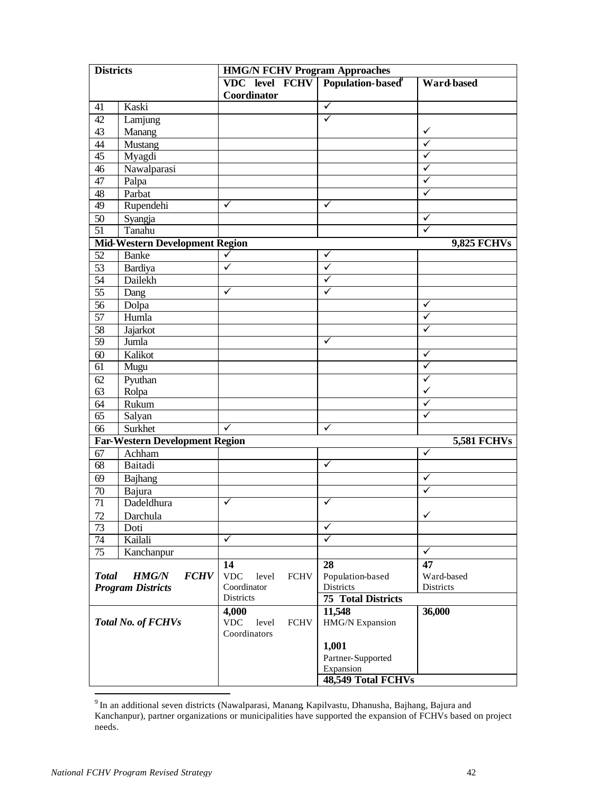| <b>Districts</b>          |                                       | <b>HMG/N FCHV Program Approaches</b>               |                           |                    |  |
|---------------------------|---------------------------------------|----------------------------------------------------|---------------------------|--------------------|--|
|                           |                                       | VDC level FCHV Population-based                    |                           | Ward based         |  |
|                           |                                       | Coordinator                                        |                           |                    |  |
| 41                        | Kaski                                 |                                                    | $\checkmark$              |                    |  |
| 42                        | Lamjung                               |                                                    | ✓                         |                    |  |
| 43                        | Manang                                |                                                    |                           | ✓                  |  |
| 44                        | Mustang                               |                                                    |                           | $\checkmark$       |  |
| 45                        | Myagdi                                |                                                    |                           | ✓                  |  |
| 46                        | Nawalparasi                           |                                                    |                           | $\checkmark$       |  |
| 47                        | Palpa                                 |                                                    |                           | $\checkmark$       |  |
| 48                        | Parbat                                |                                                    |                           | $\checkmark$       |  |
| 49                        | Rupendehi                             | ✓                                                  | ✓                         |                    |  |
| $\overline{50}$           | Syangja                               |                                                    |                           | $\checkmark$       |  |
| $\overline{51}$           | Tanahu                                |                                                    |                           | $\checkmark$       |  |
|                           | <b>Mid-Western Development Region</b> |                                                    |                           | <b>9,825 FCHVs</b> |  |
| 52                        | <b>Banke</b>                          | ✓                                                  | ✓                         |                    |  |
| 53                        | Bardiya                               | $\checkmark$                                       | ✓                         |                    |  |
| 54                        | Dailekh                               |                                                    | ✓                         |                    |  |
| $\overline{55}$           | Dang                                  | ✓                                                  | ✓                         |                    |  |
| $\overline{56}$           | Dolpa                                 |                                                    |                           | ✓                  |  |
| 57                        | Humla                                 |                                                    |                           | ✓                  |  |
| 58                        | Jajarkot                              |                                                    |                           | $\checkmark$       |  |
| $\overline{59}$           | Jumla                                 |                                                    | ✓                         |                    |  |
| 60                        | Kalikot                               |                                                    |                           | ✓                  |  |
| 61                        | Mugu                                  |                                                    |                           | $\checkmark$       |  |
| 62                        | Pyuthan                               |                                                    |                           | ✓                  |  |
| 63                        | Rolpa                                 |                                                    |                           | $\checkmark$       |  |
| 64                        | Rukum                                 |                                                    |                           | $\checkmark$       |  |
| $\overline{65}$           | Salyan                                |                                                    |                           | ✓                  |  |
| 66                        | Surkhet                               | ✓                                                  | ✓                         |                    |  |
|                           | <b>Far-Western Development Region</b> |                                                    |                           | <b>5,581 FCHVs</b> |  |
| 67                        | Achham                                |                                                    |                           | $\checkmark$       |  |
| 68                        | Baitadi                               |                                                    | ✓                         |                    |  |
| 69                        | Bajhang                               |                                                    |                           | ✓                  |  |
| 70                        | Bajura                                |                                                    |                           | ✓                  |  |
| 71                        | Dadeldhura                            | ✓                                                  | ✓                         |                    |  |
| 72                        | Darchula                              |                                                    |                           | $\checkmark$       |  |
| 73                        | Doti                                  |                                                    | ✓                         |                    |  |
| 74                        | Kailali                               | ✓                                                  | ✓                         |                    |  |
| $\overline{75}$           | Kanchanpur                            |                                                    |                           | ✓                  |  |
|                           |                                       | 14                                                 | 28                        | 47                 |  |
| <b>Total</b>              | <b>HMG/N</b><br><b>FCHV</b>           | <b>VDC</b><br>level<br><b>FCHV</b>                 | Population-based          | Ward-based         |  |
|                           | <b>Program Districts</b>              | Coordinator                                        | Districts                 | Districts          |  |
|                           |                                       | Districts                                          | <b>75 Total Districts</b> |                    |  |
| <b>Total No. of FCHVs</b> |                                       | 4,000                                              | 11,548                    | 36,000             |  |
|                           |                                       | <b>VDC</b><br>level<br><b>FCHV</b><br>Coordinators | HMG/N Expansion           |                    |  |
|                           |                                       |                                                    | 1,001                     |                    |  |
|                           |                                       |                                                    | Partner-Supported         |                    |  |
|                           |                                       |                                                    | Expansion                 |                    |  |
|                           |                                       |                                                    | 48,549 Total FCHVs        |                    |  |

<sup>9&</sup>lt;br><sup>9</sup> In an additional seven districts (Nawalparasi, Manang, Kapilvastu, Dhanusha, Bajhang, Bajura and Kanchanpur), partner organizations or municipalities have supported the expansion of FCHVs based on project needs.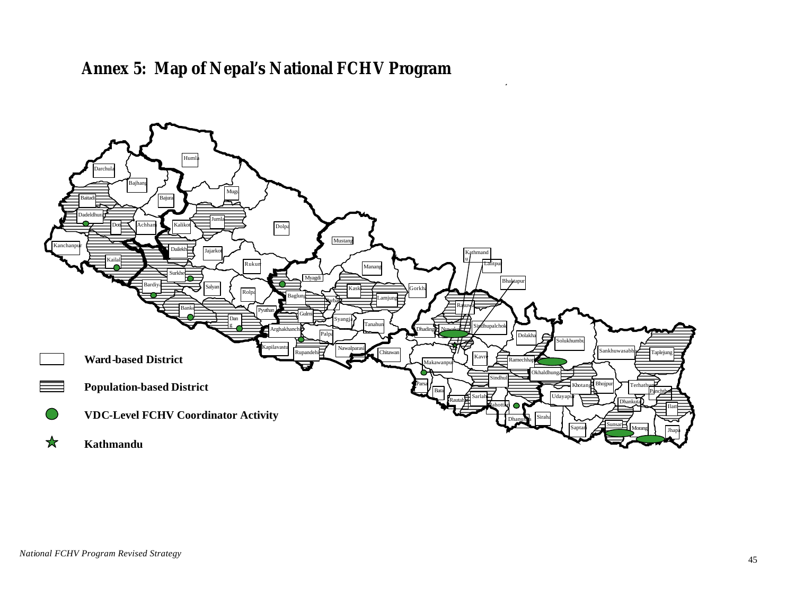# **Annex 5: Map of Nepal's National FCHV Program**

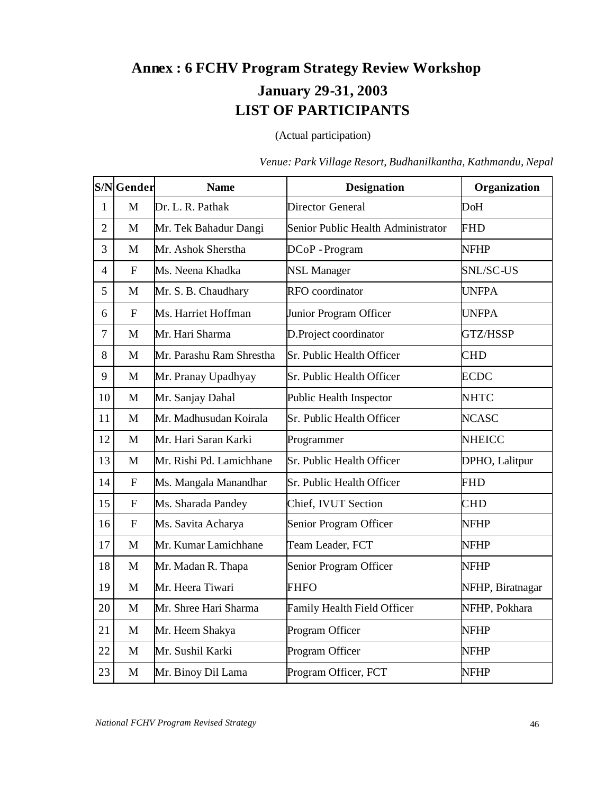# **Annex : 6 FCHV Program Strategy Review Workshop January 29-31, 2003 LIST OF PARTICIPANTS**

(Actual participation)

|                | S/NGender    | <b>Name</b>              | <b>Designation</b>                 | Organization     |
|----------------|--------------|--------------------------|------------------------------------|------------------|
| $\mathbf{1}$   | M            | Dr. L. R. Pathak         | Director General                   | DoH              |
| $\overline{2}$ | M            | Mr. Tek Bahadur Dangi    | Senior Public Health Administrator | <b>FHD</b>       |
| $\overline{3}$ | $\mathbf{M}$ | Mr. Ashok Sherstha       | $DCoP$ - Program                   | <b>NFHP</b>      |
| 4              | F            | Ms. Neena Khadka         | <b>NSL Manager</b>                 | SNL/SC-US        |
| 5              | M            | Mr. S. B. Chaudhary      | RFO coordinator                    | <b>UNFPA</b>     |
| 6              | $\mathbf F$  | Ms. Harriet Hoffman      | Junior Program Officer             | <b>UNFPA</b>     |
| 7              | M            | Mr. Hari Sharma          | D.Project coordinator              | GTZ/HSSP         |
| 8              | M            | Mr. Parashu Ram Shrestha | Sr. Public Health Officer          | <b>CHD</b>       |
| 9              | M            | Mr. Pranay Upadhyay      | Sr. Public Health Officer          | <b>ECDC</b>      |
| 10             | $\mathbf{M}$ | Mr. Sanjay Dahal         | Public Health Inspector            | <b>NHTC</b>      |
| 11             | $\mathbf{M}$ | Mr. Madhusudan Koirala   | Sr. Public Health Officer          | <b>NCASC</b>     |
| 12             | M            | Mr. Hari Saran Karki     | Programmer                         | <b>NHEICC</b>    |
| 13             | M            | Mr. Rishi Pd. Lamichhane | Sr. Public Health Officer          | DPHO, Lalitpur   |
| 14             | $\mathbf{F}$ | Ms. Mangala Manandhar    | Sr. Public Health Officer          | <b>FHD</b>       |
| 15             | $\mathbf{F}$ | Ms. Sharada Pandey       | Chief, IVUT Section                | <b>CHD</b>       |
| 16             | $\mathbf F$  | Ms. Savita Acharya       | Senior Program Officer             | <b>NFHP</b>      |
| 17             | $\mathbf{M}$ | Mr. Kumar Lamichhane     | Team Leader, FCT                   | <b>NFHP</b>      |
| 18             | $\mathbf{M}$ | Mr. Madan R. Thapa       | Senior Program Officer             | <b>NFHP</b>      |
| 19             | M            | Mr. Heera Tiwari         | <b>FHFO</b>                        | NFHP, Biratnagar |
| 20             | M            | Mr. Shree Hari Sharma    | Family Health Field Officer        | NFHP, Pokhara    |
| 21             | M            | Mr. Heem Shakya          | Program Officer                    | <b>NFHP</b>      |
| 22             | M            | Mr. Sushil Karki         | Program Officer                    | <b>NFHP</b>      |
| 23             | M            | Mr. Binoy Dil Lama       | Program Officer, FCT               | <b>NFHP</b>      |

*Venue: Park Village Resort, Budhanilkantha, Kathmandu, Nepal*